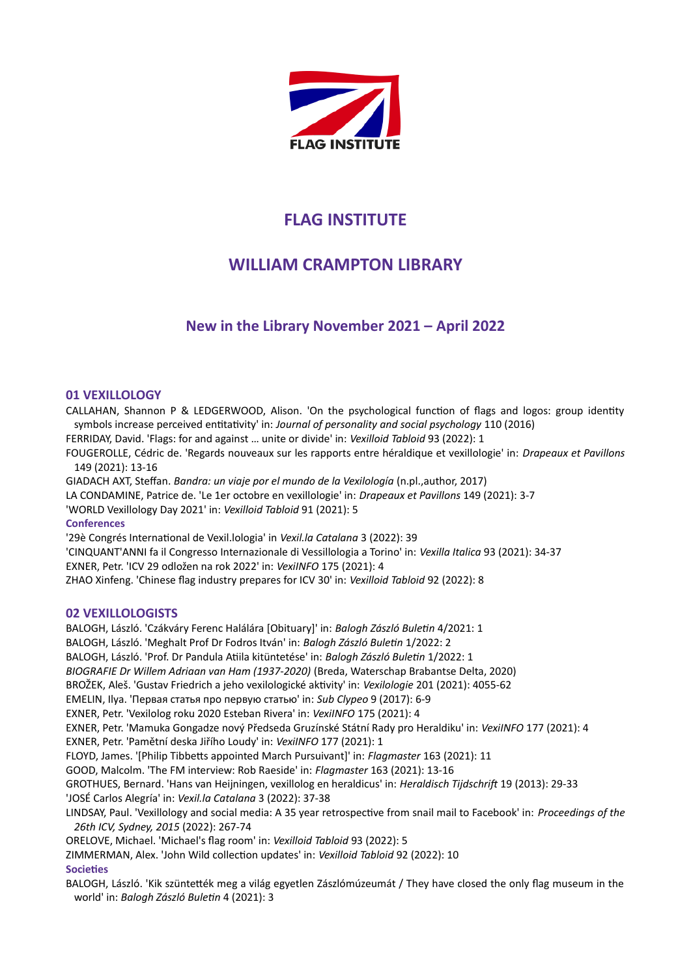

# **FLAG INSTITUTE**

# **WILLIAM CRAMPTON LIBRARY**

# **New in the Library November 2021 – April 2022**

## **01 VEXILLOLOGY**

CALLAHAN, Shannon P & LEDGERWOOD, Alison. 'On the psychological function of flags and logos: group identity symbols increase perceived entitativity' in: *Journal of personality and social psychology* 110 (2016)

FERRIDAY, David. 'Flags: for and against … unite or divide' in: *Vexilloid Tabloid* 93 (2022): 1

FOUGEROLLE, Cédric de. 'Regards nouveaux sur les rapports entre héraldique et vexillologie' in: *Drapeaux et Pavillons* 149 (2021): 13-16

GIADACH AXT, Steffan. *Bandra: un viaje por el mundo de la Vexilología* (n.pl.,author, 2017)

LA CONDAMINE, Patrice de. 'Le 1er octobre en vexillologie' in: *Drapeaux et Pavillons* 149 (2021): 3-7

'WORLD Vexillology Day 2021' in: *Vexilloid Tabloid* 91 (2021): 5

## **Conferences**

'29è Congrés International de Vexil.lologia' in *Vexil.la Catalana* 3 (2022): 39 'CINQUANT'ANNI fa il Congresso Internazionale di Vessillologia a Torino' in: *Vexilla Italica* 93 (2021): 34-37

EXNER, Petr. 'ICV 29 odložen na rok 2022' in: *VexiINFO* 175 (2021): 4

ZHAO Xinfeng. 'Chinese flag industry prepares for ICV 30' in: *Vexilloid Tabloid* 92 (2022): 8

## **02 VEXILLOLOGISTS**

BALOGH, László. 'Czákváry Ferenc Halálára [Obituary]' in: *Balogh Zászló Buletin* 4/2021: 1 BALOGH, László. 'Meghalt Prof Dr Fodros Itván' in: *Balogh Zászló Buletin* 1/2022: 2 BALOGH, László. 'Prof. Dr Pandula Atiila kitüntetése' in: *Balogh Zászló Buletin* 1/2022: 1 *BIOGRAFIE Dr Willem Adriaan van Ham (1937-2020)* (Breda, Waterschap Brabantse Delta, 2020) BROŽEK, Aleš. 'Gustav Friedrich a jeho vexilologické aktivity' in: *Vexilologie* 201 (2021): 4055-62 EMELIN, Ilya. 'Первая статья про первую статью' in: *Sub Clypeo* 9 (2017): 6-9 EXNER, Petr. 'Vexilolog roku 2020 Esteban Rivera' in: *VexiINFO* 175 (2021): 4 EXNER, Petr. 'Mamuka Gongadze nový Předseda Gruzínské Státní Rady pro Heraldiku' in: *VexiINFO* 177 (2021): 4 EXNER, Petr. 'Pamětní deska Jiřího Loudy' in: *VexiINFO* 177 (2021): 1 FLOYD, James. '[Philip Tibbetts appointed March Pursuivant]' in: *Flagmaster* 163 (2021): 11 GOOD, Malcolm. 'The FM interview: Rob Raeside' in: *Flagmaster* 163 (2021): 13-16 GROTHUES, Bernard. 'Hans van Heijningen, vexillolog en heraldicus' in: *Heraldisch Tijdschrift* 19 (2013): 29-33 'JOSÉ Carlos Alegría' in: *Vexil.la Catalana* 3 (2022): 37-38 LINDSAY, Paul. 'Vexillology and social media: A 35 year retrospective from snail mail to Facebook' in: *Proceedings of the 26th ICV, Sydney, 2015* (2022): 267-74 ORELOVE, Michael. 'Michael's flag room' in: *Vexilloid Tabloid* 93 (2022): 5 ZIMMERMAN, Alex. 'John Wild collection updates' in: *Vexilloid Tabloid* 92 (2022): 10

#### **Societies**

BALOGH, László. 'Kik szüntették meg a világ egyetlen Zászlómúzeumát / They have closed the only flag museum in the world' in: *Balogh Zászló Buletin* 4 (2021): 3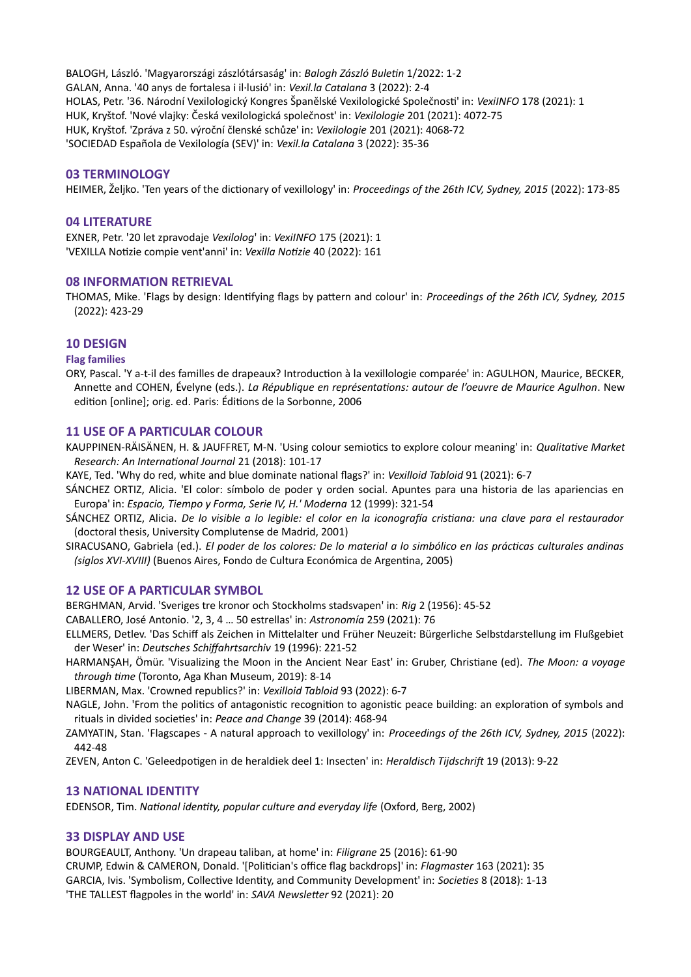BALOGH, László. 'Magyarországi zászlótársaság' in: *Balogh Zászló Buletin* 1/2022: 1-2 GALAN, Anna. '40 anys de fortalesa i il·lusió' in: *Vexil.la Catalana* 3 (2022): 2-4 HOLAS, Petr. '36. Národní Vexilologický Kongres Španělské Vexilologické Společnosti' in: *VexiINFO* 178 (2021): 1 HUK, Kryštof. 'Nové vlajky: Česká vexilologická společnost' in: *Vexilologie* 201 (2021): 4072-75 HUK, Kryštof. 'Zpráva z 50. výroční členské schůze' in: *Vexilologie* 201 (2021): 4068-72 'SOCIEDAD Española de Vexilología (SEV)' in: *Vexil.la Catalana* 3 (2022): 35-36

### **03 TERMINOLOGY**

HEIMER, Željko. 'Ten years of the dictionary of vexillology' in: *Proceedings of the 26th ICV, Sydney, 2015* (2022): 173-85

## **04 LITERATURE**

EXNER, Petr. '20 let zpravodaje *Vexilolog*' in: *VexiINFO* 175 (2021): 1 'VEXILLA Notizie compie vent'anni' in: *Vexilla Notizie* 40 (2022): 161

#### **08 INFORMATION RETRIEVAL**

THOMAS, Mike. 'Flags by design: Identifying flags by pattern and colour' in: *Proceedings of the 26th ICV, Sydney, 2015* (2022): 423-29

## **10 DESIGN**

#### **Flag families**

ORY, Pascal. 'Y a-t-il des familles de drapeaux? Introduction à la vexillologie comparée' in: AGULHON, Maurice, BECKER, Annette and COHEN, Évelyne (eds.). *La République en représentations: autour de l'oeuvre de Maurice Agulhon*. New edition [online]; orig. ed. Paris: Éditions de la Sorbonne, 2006

## **11 USE OF A PARTICULAR COLOUR**

KAUPPINEN-RÄISÄNEN, H. & JAUFFRET, M-N. 'Using colour semiotics to explore colour meaning' in: *Qualitative Market Research: An International Journal* 21 (2018): 101-17

KAYE, Ted. 'Why do red, white and blue dominate national flags?' in: *Vexilloid Tabloid* 91 (2021): 6-7

SÁNCHEZ ORTIZ, Alicia. 'El color: símbolo de poder y orden social. Apuntes para una historia de las apariencias en Europa' in: *Espacio, Tiempo y Forma, Serie IV, H.' Moderna* 12 (1999): 321-54

SÁNCHEZ ORTIZ, Alicia. *De lo visible a lo legible: el color en la iconografía cristiana: una clave para el restaurador* (doctoral thesis, University Complutense de Madrid, 2001)

SIRACUSANO, Gabriela (ed.). *El poder de los colores: De lo material a lo simbólico en las prácticas culturales andinas (siglos XVI-XVIII)* (Buenos Aires, Fondo de Cultura Económica de Argentina, 2005)

## **12 USE OF A PARTICULAR SYMBOL**

BERGHMAN, Arvid. 'Sveriges tre kronor och Stockholms stadsvapen' in: *Rig* 2 (1956): 45-52

CABALLERO, José Antonio. '2, 3, 4 … 50 estrellas' in: *Astronomía* 259 (2021): 76

ELLMERS, Detlev. 'Das Schiff als Zeichen in Mittelalter und Früher Neuzeit: Bürgerliche Selbstdarstellung im Flußgebiet der Weser' in: *Deutsches Schiffahrtsarchiv* 19 (1996): 221-52

HARMANŞAH, Ömür. 'Visualizing the Moon in the Ancient Near East' in: Gruber, Christiane (ed). *The Moon: a voyage through time* (Toronto, Aga Khan Museum, 2019): 8-14

LIBERMAN, Max. 'Crowned republics?' in: *Vexilloid Tabloid* 93 (2022): 6-7

NAGLE, John. 'From the politics of antagonistic recognition to agonistic peace building: an exploration of symbols and rituals in divided societies' in: *Peace and Change* 39 (2014): 468-94

ZAMYATIN, Stan. 'Flagscapes - A natural approach to vexillology' in: *Proceedings of the 26th ICV, Sydney, 2015* (2022): 442-48

ZEVEN, Anton C. 'Geleedpotigen in de heraldiek deel 1: Insecten' in: *Heraldisch Tijdschrift* 19 (2013): 9-22

### **13 NATIONAL IDENTITY**

EDENSOR, Tim. *National identity, popular culture and everyday life* (Oxford, Berg, 2002)

#### **33 DISPLAY AND USE**

BOURGEAULT, Anthony. 'Un drapeau taliban, at home' in: *Filigrane* 25 (2016): 61-90 CRUMP, Edwin & CAMERON, Donald. '[Politician's office flag backdrops]' in: *Flagmaster* 163 (2021): 35 GARCIA, Ivis. 'Symbolism, Collective Identity, and Community Development' in: *Societies* 8 (2018): 1-13 'THE TALLEST flagpoles in the world' in: *SAVA Newsletter* 92 (2021): 20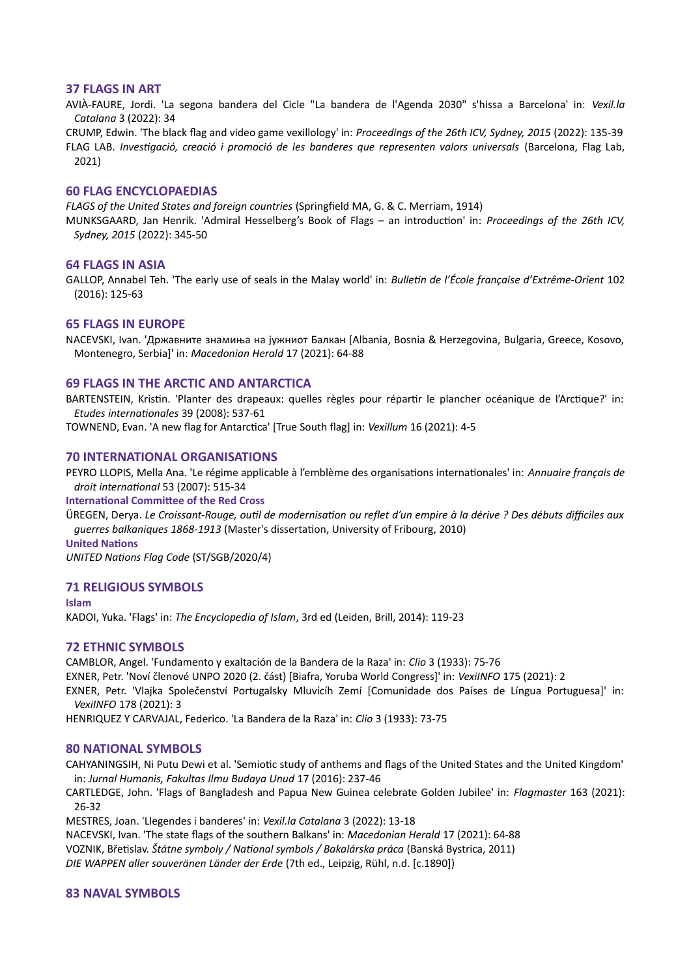### **37 FLAGS IN ART**

AVIÀ-FAURE, Jordi. 'La segona bandera del Cicle "La bandera de l'Agenda 2030" s'hissa a Barcelona' in: *Vexil.la Catalana* 3 (2022): 34

CRUMP, Edwin. 'The black flag and video game vexillology' in: *Proceedings of the 26th ICV, Sydney, 2015* (2022): 135-39 FLAG LAB. *Investigació, creació i promoció de les banderes que representen valors universals* (Barcelona, Flag Lab, 2021)

## **60 FLAG ENCYCLOPAEDIAS**

*FLAGS of the United States and foreign countries* (Springfield MA, G. & C. Merriam, 1914) MUNKSGAARD, Jan Henrik. 'Admiral Hesselberg's Book of Flags – an introduction' in: *Proceedings of the 26th ICV, Sydney, 2015* (2022): 345-50

### **64 FLAGS IN ASIA**

GALLOP, Annabel Teh. 'The early use of seals in the Malay world' in: *Bulletin de l'École française d'Extrême-Orient* 102 (2016): 125-63

## **65 FLAGS IN EUROPE**

NACEVSKI, Ivan. 'Државните знамиња на јужниот Балкан [Albania, Bosnia & Herzegovina, Bulgaria, Greece, Kosovo, Montenegro, Serbia]' in: *Macedonian Herald* 17 (2021): 64-88

### **69 FLAGS IN THE ARCTIC AND ANTARCTICA**

BARTENSTEIN, Kristin. 'Planter des drapeaux: quelles règles pour répartir le plancher océanique de l'Arctique?' in: *Etudes internationales* 39 (2008): 537-61

TOWNEND, Evan. 'A new flag for Antarctica' [True South flag] in: *Vexillum* 16 (2021): 4-5

### **70 INTERNATIONAL ORGANISATIONS**

PEYRO LLOPIS, Mella Ana. 'Le régime applicable à l'emblème des organisations internationales' in: *Annuaire français de droit international* 53 (2007): 515-34

**International Committee of the Red Cross**

ÜREGEN, Derya. *Le Croissant-Rouge, outil de modernisation ou reflet d'un empire à la dérive ? Des débuts difficiles aux guerres balkaniques 1868-1913* (Master's dissertation, University of Fribourg, 2010)

**United Nations** *UNITED Nations Flag Code* (ST/SGB/2020/4)

## **71 RELIGIOUS SYMBOLS**

**Islam** KADOI, Yuka. 'Flags' in: *The Encyclopedia of Islam*, 3rd ed (Leiden, Brill, 2014): 119-23

## **72 ETHNIC SYMBOLS**

CAMBLOR, Angel. 'Fundamento y exaltación de la Bandera de la Raza' in: *Clio* 3 (1933): 75-76

EXNER, Petr. 'Noví členové UNPO 2020 (2. část) [Biafra, Yoruba World Congress]' in: *VexiINFO* 175 (2021): 2

EXNER, Petr. 'Vlajka Společenství Portugalsky Mluvícíh Zemí [Comunidade dos Países de Língua Portuguesa]' in: *VexiINFO* 178 (2021): 3

HENRIQUEZ Y CARVAJAL, Federico. 'La Bandera de la Raza' in: *Clio* 3 (1933): 73-75

#### **80 NATIONAL SYMBOLS**

CAHYANINGSIH, Ni Putu Dewi et al. 'Semiotic study of anthems and flags of the United States and the United Kingdom' in: *Jurnal Humanis, Fakultas Ilmu Budaya Unud* 17 (2016): 237-46

CARTLEDGE, John. 'Flags of Bangladesh and Papua New Guinea celebrate Golden Jubilee' in: *Flagmaster* 163 (2021): 26-32

MESTRES, Joan. 'Llegendes i banderes' in: *Vexil.la Catalana* 3 (2022): 13-18

NACEVSKI, Ivan. 'The state flags of the southern Balkans' in: *Macedonian Herald* 17 (2021): 64-88 VOZNIK, Břetislav. *Štátne symboly / National symbols / Bakalárska práca* (Banská Bystrica, 2011) *DIE WAPPEN aller souveränen Länder der Erde* (7th ed., Leipzig, Rühl, n.d. [c.1890])

#### **83 NAVAL SYMBOLS**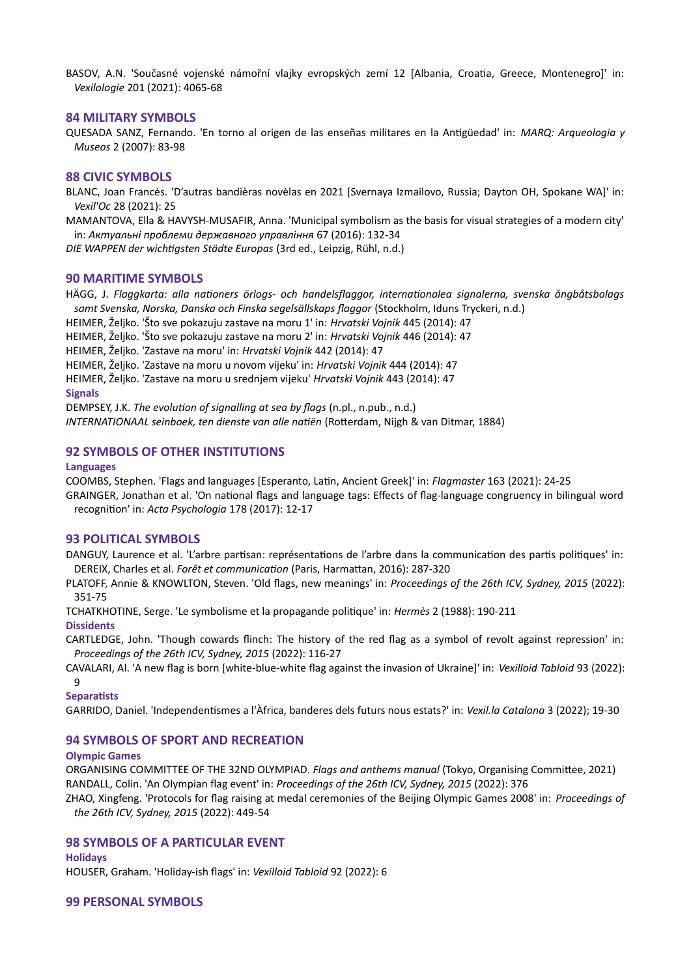BASOV, A.N. 'Současné vojenské námořní vlajky evropských zemí 12 [Albania, Croatia, Greece, Montenegro]' in: *Vexilologie* 201 (2021): 4065-68

### **84 MILITARY SYMBOLS**

QUESADA SANZ, Fernando. 'En torno al origen de las enseñas militares en la Antigüedad' in: *MARQ: Arqueologia y Museos* 2 (2007): 83-98

#### **88 CIVIC SYMBOLS**

BLANC, Joan Francés. 'D'autras bandièras novèlas en 2021 [Svernaya Izmailovo, Russia; Dayton OH, Spokane WA]' in: *Vexil'Oc* 28 (2021): 25

MAMANTOVA, Ella & HAVYSH-MUSAFIR, Anna. 'Municipal symbolism as the basis for visual strategies of a modern city' in: *Актуальнi проблеми державного управлiння* 67 (2016): 132-34

*DIE WAPPEN der wichtigsten Städte Europas* (3rd ed., Leipzig, Rühl, n.d.)

#### **90 MARITIME SYMBOLS**

HÄGG, J. *Flaggkarta: alla nationers örlogs- och handelsflaggor, internationalea signalerna, svenska ångbåtsbolags samt Svenska, Norska, Danska och Finska segelsällskaps flaggor* (Stockholm, Iduns Tryckeri, n.d.)

HEIMER, Željko. 'Što sve pokazuju zastave na moru 1' in: *Hrvatski Vojnik* 445 (2014): 47

HEIMER, Željko. 'Što sve pokazuju zastave na moru 2' in: *Hrvatski Vojnik* 446 (2014): 47

HEIMER, Željko. 'Zastave na moru' in: *Hrvatski Vojnik* 442 (2014): 47

HEIMER, Željko. 'Zastave na moru u novom vijeku' in: *Hrvatski Vojnik* 444 (2014): 47

HEIMER, Željko. 'Zastave na moru u srednjem vijeku' *Hrvatski Vojnik* 443 (2014): 47

#### **Signals**

DEMPSEY, J.K. *The evolution of signalling at sea by flags* (n.pl., n.pub., n.d.)

*INTERNATIONAAL seinboek, ten dienste van alle natiën* (Rotterdam, Nijgh & van Ditmar, 1884)

## **92 SYMBOLS OF OTHER INSTITUTIONS**

#### **Languages**

COOMBS, Stephen. 'Flags and languages [Esperanto, Latin, Ancient Greek]' in: *Flagmaster* 163 (2021): 24-25

GRAINGER, Jonathan et al. 'On national flags and language tags: Effects of flag-language congruency in bilingual word recognition' in: *Acta Psychologia* 178 (2017): 12-17

#### **93 POLITICAL SYMBOLS**

DANGUY, Laurence et al. 'L'arbre partisan: représentations de l'arbre dans la communication des partis politiques' in: DEREIX, Charles et al. *Forêt et communication* (Paris, Harmattan, 2016): 287-320

PLATOFF, Annie & KNOWLTON, Steven. 'Old flags, new meanings' in: *Proceedings of the 26th ICV, Sydney, 2015* (2022): 351-75

TCHATKHOTINE, Serge. 'Le symbolisme et la propagande politique' in: *Hermès* 2 (1988): 190-211 **Dissidents**

#### CARTLEDGE, John. 'Though cowards flinch: The history of the red flag as a symbol of revolt against repression' in: *Proceedings of the 26th ICV, Sydney, 2015* (2022): 116-27

CAVALARI, Al. 'A new flag is born [white-blue-white flag against the invasion of Ukraine]' in: *Vexilloid Tabloid* 93 (2022): 9

#### **Separatists**

GARRIDO, Daniel. 'Independentismes a l'Àfrica, banderes dels futurs nous estats?' in: *Vexil.la Catalana* 3 (2022); 19-30

## **94 SYMBOLS OF SPORT AND RECREATION**

## **Olympic Games**

ORGANISING COMMITTEE OF THE 32ND OLYMPIAD. *Flags and anthems manual* (Tokyo, Organising Committee, 2021) RANDALL, Colin. 'An Olympian flag event' in: *Proceedings of the 26th ICV, Sydney, 2015* (2022): 376

ZHAO, Xingfeng. 'Protocols for flag raising at medal ceremonies of the Beijing Olympic Games 2008' in: *Proceedings of the 26th ICV, Sydney, 2015* (2022): 449-54

## **98 SYMBOLS OF A PARTICULAR EVENT**

## **Holidays**

HOUSER, Graham. 'Holiday-ish flags' in: *Vexilloid Tabloid* 92 (2022): 6

## **99 PERSONAL SYMBOLS**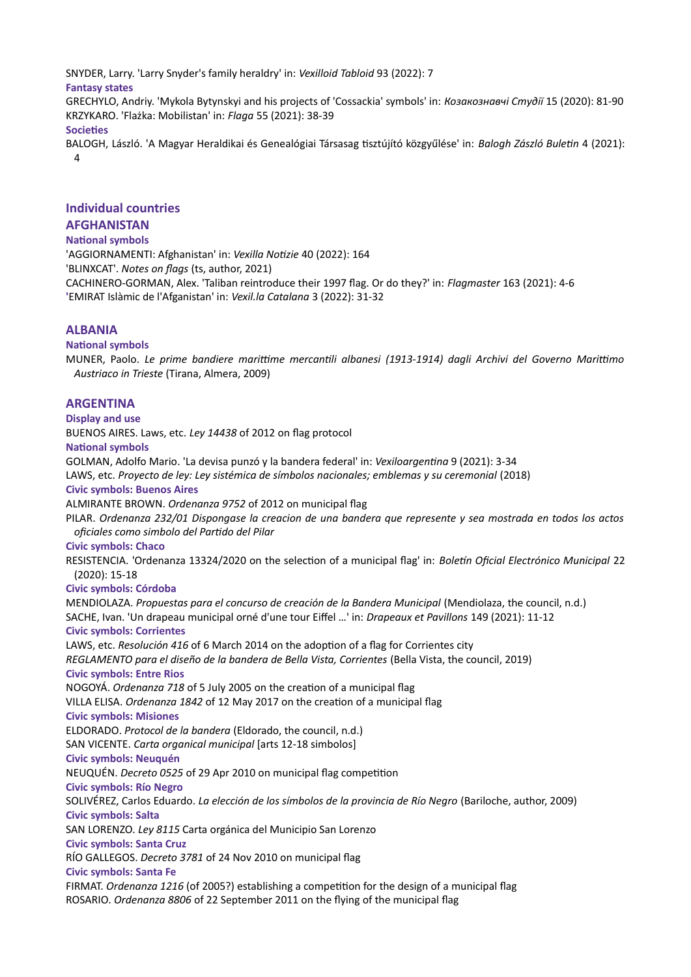SNYDER, Larry. 'Larry Snyder's family heraldry' in: *Vexilloid Tabloid* 93 (2022): 7

**Fantasy states**

GRECHYLO, Andriy. 'Mykola Bytynskyi and his projects of 'Cossackia' symbols' in: *Козакознавчі Студії* 15 (2020): 81-90 KRZYKARO. 'Flażka: Mobilistan' in: *Flaga* 55 (2021): 38-39

**Societies**

BALOGH, László. 'A Magyar Heraldikai és Genealógiai Társasag tisztújító közgyűlése' in: *Balogh Zászló Buletin* 4 (2021): 4

# **Individual countries**

## **AFGHANISTAN**

## **National symbols**

'AGGIORNAMENTI: Afghanistan' in: *Vexilla Notizie* 40 (2022): 164 'BLINXCAT'. *Notes on flags* (ts, author, 2021) CACHINERO-GORMAN, Alex. 'Taliban reintroduce their 1997 flag. Or do they?' in: *Flagmaster* 163 (2021): 4-6 **'**EMIRAT Islàmic de l'Afganistan' in: *Vexil.la Catalana* 3 (2022): 31-32

## **ALBANIA**

**National symbols**

MUNER, Paolo. *Le prime bandiere marittime mercantili albanesi (1913-1914) dagli Archivi del Governo Marittimo Austriaco in Trieste* (Tirana, Almera, 2009)

## **ARGENTINA**

## **Display and use**

BUENOS AIRES. Laws, etc. *Ley 14438* of 2012 on flag protocol

### **National symbols**

GOLMAN, Adolfo Mario. 'La devisa punzó y la bandera federal' in: *Vexiloargentina* 9 (2021): 3-34

LAWS, etc. Proyecto de ley: Ley sistémica de símbolos nacionales; emblemas y su ceremonial (2018)

## **Civic symbols: Buenos Aires**

ALMIRANTE BROWN. *Ordenanza 9752* of 2012 on municipal flag

PILAR. *Ordenanza 232/01 Dispongase la creacion de una bandera que represente y sea mostrada en todos los actos oficiales como simbolo del Partido del Pilar*

## **Civic symbols: Chaco**

RESISTENCIA. 'Ordenanza 13324/2020 on the selection of a municipal flag' in: *Boletín Oficial Electrónico Municipal* 22 (2020): 15-18

**Civic symbols: Córdoba**

MENDIOLAZA. *Propuestas para el concurso de creación de la Bandera Municipal* (Mendiolaza, the council, n.d.) SACHE, Ivan. 'Un drapeau municipal orné d'une tour Eiffel …' in: *Drapeaux et Pavillons* 149 (2021): 11-12 **Civic symbols: Corrientes** LAWS, etc. *Resolución 416* of 6 March 2014 on the adoption of a flag for Corrientes city

*REGLAMENTO para el diseño de la bandera de Bella Vista, Corrientes* (Bella Vista, the council, 2019)

## **Civic symbols: Entre Rios**

NOGOYÁ. *Ordenanza 718* of 5 July 2005 on the creation of a municipal flag VILLA ELISA. *Ordenanza 1842* of 12 May 2017 on the creation of a municipal flag

## **Civic symbols: Misiones**

ELDORADO. *Protocol de la bandera* (Eldorado, the council, n.d.) SAN VICENTE. *Carta organical municipal* [arts 12-18 simbolos]

## **Civic symbols: Neuquén**

NEUQUÉN. *Decreto 0525* of 29 Apr 2010 on municipal flag competition

**Civic symbols: Río Negro**

SOLIVÉREZ, Carlos Eduardo. *La elección de los símbolos de la provincia de Río Negro* (Bariloche, author, 2009) **Civic symbols: Salta**

SAN LORENZO. *Ley 8115* Carta orgánica del Municipio San Lorenzo

**Civic symbols: Santa Cruz**

RÍO GALLEGOS. *Decreto 3781* of 24 Nov 2010 on municipal flag

**Civic symbols: Santa Fe**

FIRMAT. *Ordenanza 1216* (of 2005?) establishing a competition for the design of a municipal flag ROSARIO. *Ordenanza 8806* of 22 September 2011 on the flying of the municipal flag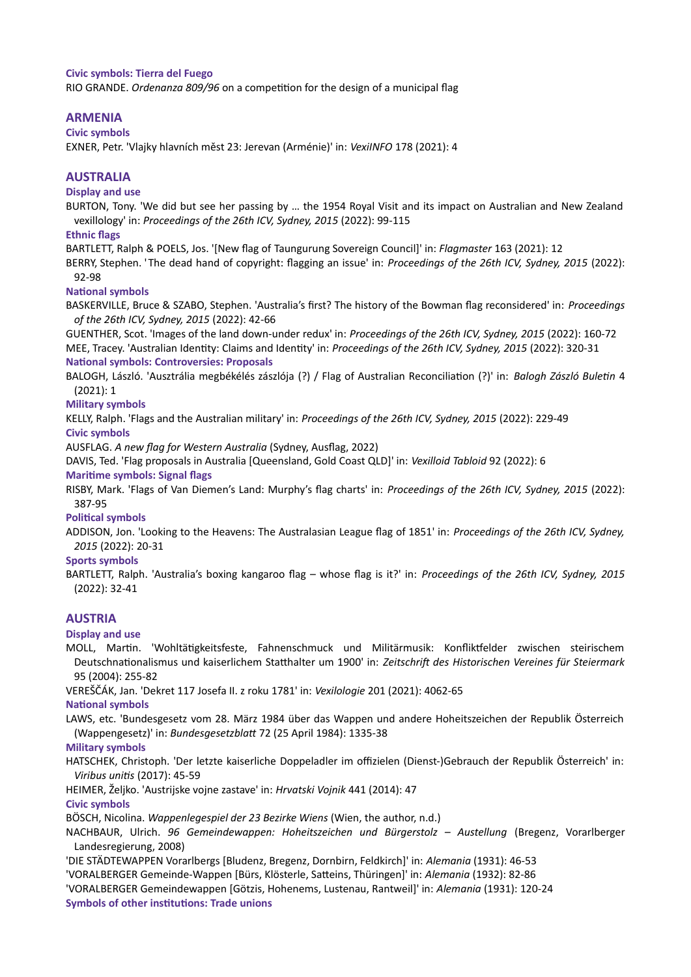#### **Civic symbols: Tierra del Fuego**

RIO GRANDE. *Ordenanza 809/96* on a competition for the design of a municipal flag

### **ARMENIA**

#### **Civic symbols**

EXNER, Petr. 'Vlajky hlavních měst 23: Jerevan (Arménie)' in: *VexiINFO* 178 (2021): 4

#### **AUSTRALIA**

### **Display and use**

BURTON, Tony. 'We did but see her passing by … the 1954 Royal Visit and its impact on Australian and New Zealand vexillology' in: *Proceedings of the 26th ICV, Sydney, 2015* (2022): 99-115

#### **Ethnic flags**

BARTLETT, Ralph & POELS, Jos. '[New flag of Taungurung Sovereign Council]' in: *Flagmaster* 163 (2021): 12

BERRY, Stephen. 'The dead hand of copyright: flagging an issue' in: *Proceedings of the 26th ICV, Sydney, 2015* (2022): 92-98

#### **National symbols**

BASKERVILLE, Bruce & SZABO, Stephen. 'Australia's first? The history of the Bowman flag reconsidered' in: *Proceedings of the 26th ICV, Sydney, 2015* (2022): 42-66

GUENTHER, Scot. 'Images of the land down-under redux' in: *Proceedings of the 26th ICV, Sydney, 2015* (2022): 160-72 MEE, Tracey. 'Australian Identity: Claims and Identity' in: *Proceedings of the 26th ICV, Sydney, 2015* (2022): 320-31 **National symbols: Controversies: Proposals**

BALOGH, László. 'Ausztrália megbékélés zászlója (?) / Flag of Australian Reconciliation (?)' in: *Balogh Zászló Buletin* 4 (2021): 1

#### **Military symbols**

KELLY, Ralph. 'Flags and the Australian military' in: *Proceedings of the 26th ICV, Sydney, 2015* (2022): 229-49 **Civic symbols**

AUSFLAG. *A new flag for Western Australia* (Sydney, Ausflag, 2022)

DAVIS, Ted. 'Flag proposals in Australia [Queensland, Gold Coast QLD]' in: *Vexilloid Tabloid* 92 (2022): 6

#### **Maritime symbols: Signal flags**

RISBY, Mark. 'Flags of Van Diemen's Land: Murphy's flag charts' in: *Proceedings of the 26th ICV, Sydney, 2015* (2022): 387-95

**Political symbols**

ADDISON, Jon. 'Looking to the Heavens: The Australasian League flag of 1851' in: *Proceedings of the 26th ICV, Sydney, 2015* (2022): 20-31

#### **Sports symbols**

BARTLETT, Ralph. 'Australia's boxing kangaroo flag – whose flag is it?' in: *Proceedings of the 26th ICV, Sydney, 2015* (2022): 32-41

#### **AUSTRIA**

#### **Display and use**

MOLL, Martin. 'Wohltätigkeitsfeste, Fahnenschmuck und Militärmusik: Konfliktfelder zwischen steirischem Deutschnationalismus und kaiserlichem Statthalter um 1900' in: *Zeitschrift des Historischen Vereines für Steiermark* 95 (2004): 255-82

VEREŠČÁK, Jan. 'Dekret 117 Josefa II. z roku 1781' in: *Vexilologie* 201 (2021): 4062-65

**National symbols**

LAWS, etc. 'Bundesgesetz vom 28. März 1984 über das Wappen und andere Hoheitszeichen der Republik Österreich (Wappengesetz)' in: *Bundesgesetzblatt* 72 (25 April 1984): 1335-38

#### **Military symbols**

HATSCHEK, Christoph. 'Der letzte kaiserliche Doppeladler im offizielen (Dienst-)Gebrauch der Republik Österreich' in: *Viribus unitis* (2017): 45-59

HEIMER, Željko. 'Austrijske vojne zastave' in: *Hrvatski Vojnik* 441 (2014): 47

#### **Civic symbols**

BÖSCH, Nicolina. *Wappenlegespiel der 23 Bezirke Wiens* (Wien, the author, n.d.)

NACHBAUR, Ulrich. 96 Gemeindewappen: Hoheitszeichen und Bürgerstolz - Austellung (Bregenz, Vorarlberger Landesregierung, 2008)

'DIE STÄDTEWAPPEN Vorarlbergs [Bludenz, Bregenz, Dornbirn, Feldkirch]' in: *Alemania* (1931): 46-53

'VORALBERGER Gemeinde-Wappen [Bürs, Klösterle, Satteins, Thüringen]' in: *Alemania* (1932): 82-86

'VORALBERGER Gemeindewappen [Götzis, Hohenems, Lustenau, Rantweil]' in: *Alemania* (1931): 120-24 **Symbols of other institutions: Trade unions**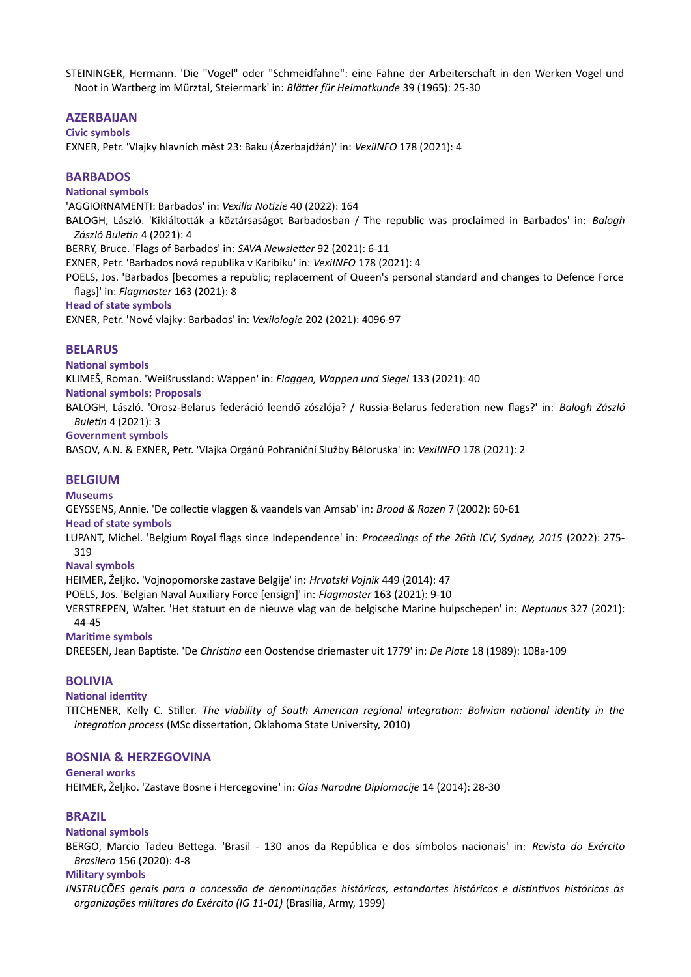STEININGER, Hermann. 'Die "Vogel" oder "Schmeidfahne": eine Fahne der Arbeiterschaft in den Werken Vogel und Noot in Wartberg im Mürztal, Steiermark' in: *Blätter für Heimatkunde* 39 (1965): 25-30

### **AZERBAIJAN**

**Civic symbols**

EXNER, Petr. 'Vlajky hlavních měst 23: Baku (Ázerbajdžán)' in: *VexiINFO* 178 (2021): 4

## **BARBADOS**

### **National symbols**

'AGGIORNAMENTI: Barbados' in: *Vexilla Notizie* 40 (2022): 164

BALOGH, László. 'Kikiáltották a köztársaságot Barbadosban / The republic was proclaimed in Barbados' in: *Balogh Zászló Buletin* 4 (2021): 4

BERRY, Bruce. 'Flags of Barbados' in: *SAVA Newsletter* 92 (2021): 6-11

EXNER, Petr. 'Barbados nová republika v Karibiku' in: *VexiINFO* 178 (2021): 4

POELS, Jos. 'Barbados [becomes a republic; replacement of Queen's personal standard and changes to Defence Force flags]' in: *Flagmaster* 163 (2021): 8

#### **Head of state symbols**

EXNER, Petr. 'Nové vlajky: Barbados' in: *Vexilologie* 202 (2021): 4096-97

## **BELARUS**

**National symbols**

KLIMEŠ, Roman. 'Weißrussland: Wappen' in: *Flaggen, Wappen und Siegel* 133 (2021): 40

**National symbols: Proposals**

BALOGH, László. 'Orosz-Belarus federáció leendő zószlója? / Russia-Belarus federation new flags?' in: *Balogh Zászló Buletin* 4 (2021): 3

**Government symbols**

BASOV, A.N. & EXNER, Petr. 'Vlajka Orgánů Pohraniční Služby Běloruska' in: *VexiINFO* 178 (2021): 2

## **BELGIUM**

**Museums**

GEYSSENS, Annie. 'De collectie vlaggen & vaandels van Amsab' in: *Brood & Rozen* 7 (2002): 60-61

#### **Head of state symbols**

LUPANT, Michel. 'Belgium Royal flags since Independence' in: *Proceedings of the 26th ICV, Sydney, 2015* (2022): 275- 319

#### **Naval symbols**

HEIMER, Željko. 'Vojnopomorske zastave Belgije' in: *Hrvatski Vojnik* 449 (2014): 47

POELS, Jos. 'Belgian Naval Auxiliary Force [ensign]' in: *Flagmaster* 163 (2021): 9-10

VERSTREPEN, Walter. 'Het statuut en de nieuwe vlag van de belgische Marine hulpschepen' in: *Neptunus* 327 (2021): 44-45

#### **Maritime symbols**

DREESEN, Jean Baptiste. 'De *Christina* een Oostendse driemaster uit 1779' in: *De Plate* 18 (1989): 108a-109

## **BOLIVIA**

**National identity**

TITCHENER, Kelly C. Stiller. *The viability of South American regional integration: Bolivian national identity in the integration process* (MSc dissertation, Oklahoma State University, 2010)

#### **BOSNIA & HERZEGOVINA**

**General works** HEIMER, Željko. 'Zastave Bosne i Hercegovine' in: *Glas Narodne Diplomacije* 14 (2014): 28-30

## **BRAZIL**

#### **National symbols**

BERGO, Marcio Tadeu Bettega. 'Brasil - 130 anos da República e dos símbolos nacionais' in: *Revista do Exército Brasilero* 156 (2020): 4-8

#### **Military symbols**

*INSTRUÇÕES gerais para a concessão de denominações históricas, estandartes históricos e distintivos históricos às organizações militares do Exército (IG 11-01)* (Brasilia, Army, 1999)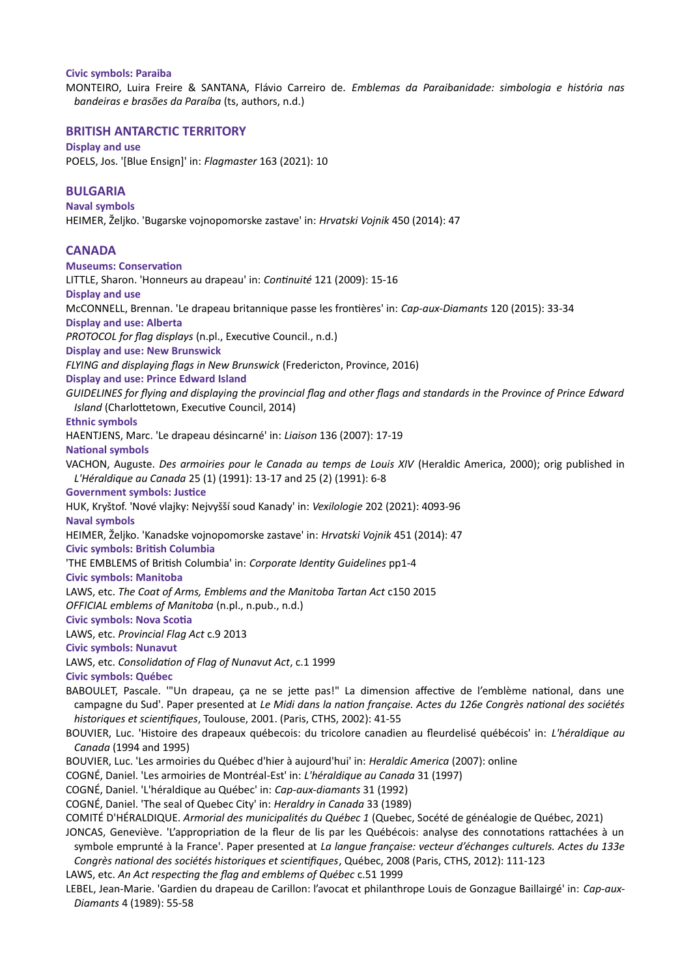#### **Civic symbols: Paraiba**

MONTEIRO, Luira Freire & SANTANA, Flávio Carreiro de. *Emblemas da Paraibanidade: simbologia e história nas bandeiras e brasões da Paraíba* (ts, authors, n.d.)

### **BRITISH ANTARCTIC TERRITORY**

**Display and use** POELS, Jos. '[Blue Ensign]' in: *Flagmaster* 163 (2021): 10

### **BULGARIA**

**Naval symbols** HEIMER, Željko. 'Bugarske vojnopomorske zastave' in: *Hrvatski Vojnik* 450 (2014): 47

## **CANADA**

**Museums: Conservation** LITTLE, Sharon. 'Honneurs au drapeau' in: *Continuité* 121 (2009): 15-16 **Display and use** McCONNELL, Brennan. 'Le drapeau britannique passe les frontières' in: *Cap-aux-Diamants* 120 (2015): 33-34 **Display and use: Alberta** *PROTOCOL for flag displays* (n.pl., Executive Council., n.d.) **Display and use: New Brunswick** *FLYING and displaying flags in New Brunswick* (Fredericton, Province, 2016) **Display and use: Prince Edward Island** *GUIDELINES for flying and displaying the provincial flag and other flags and standards in the Province of Prince Edward Island* (Charlottetown, Executive Council, 2014) **Ethnic symbols** HAENTJENS, Marc. 'Le drapeau désincarné' in: *Liaison* 136 (2007): 17-19 **National symbols** VACHON, Auguste. *Des armoiries pour le Canada au temps de Louis XIV* (Heraldic America, 2000); orig published in *L'Héraldique au Canada* 25 (1) (1991): 13-17 and 25 (2) (1991): 6-8 **Government symbols: Justice** HUK, Kryštof. 'Nové vlajky: Nejvyšší soud Kanady' in: *Vexilologie* 202 (2021): 4093-96 **Naval symbols** HEIMER, Željko. 'Kanadske vojnopomorske zastave' in: *Hrvatski Vojnik* 451 (2014): 47 **Civic symbols: British Columbia** 'THE EMBLEMS of British Columbia' in: *Corporate Identity Guidelines* pp1-4 **Civic symbols: Manitoba** LAWS, etc. *The Coat of Arms, Emblems and the Manitoba Tartan Act* c150 2015 *OFFICIAL emblems of Manitoba* (n.pl., n.pub., n.d.) **Civic symbols: Nova Scotia** LAWS, etc. *Provincial Flag Act* c.9 2013 **Civic symbols: Nunavut** LAWS, etc. *Consolidation of Flag of Nunavut Act*, c.1 1999 **Civic symbols: Québec** BABOULET, Pascale. '"Un drapeau, ça ne se jette pas!" La dimension affective de l'emblème national, dans une campagne du Sud'. Paper presented at *Le Midi dans la nation française. Actes du 126e Congrès national des sociétés historiques et scientifiques*, Toulouse, 2001. (Paris, CTHS, 2002): 41-55 BOUVIER, Luc. 'Histoire des drapeaux québecois: du tricolore canadien au fleurdelisé québécois' in: *L'héraldique au Canada* (1994 and 1995) BOUVIER, Luc. 'Les armoiries du Québec d'hier à aujourd'hui' in: *Heraldic America* (2007): online COGNÉ, Daniel. 'Les armoiries de Montréal-Est' in: *L'héraldique au Canada* 31 (1997) COGNÉ, Daniel. 'L'héraldique au Québec' in: *Cap-aux-diamants* 31 (1992) COGNÉ, Daniel. 'The seal of Quebec City' in: *Heraldry in Canada* 33 (1989)

COMITÉ D'HÉRALDIQUE. *Armorial des municipalités du Québec 1* (Quebec, Socété de généalogie de Québec, 2021)

JONCAS, Geneviève. 'L'appropriation de la fleur de lis par les Québécois: analyse des connotations rattachées à un symbole emprunté à la France'. Paper presented at *La langue française: vecteur d'échanges culturels. Actes du 133e Congrès national des sociétés historiques et scientifiques*, Québec, 2008 (Paris, CTHS, 2012): 111-123

LAWS, etc. *An Act respecting the flag and emblems of Québec* c.51 1999

LEBEL, Jean-Marie. 'Gardien du drapeau de Carillon: l'avocat et philanthrope Louis de Gonzague Baillairgé' in: *Cap-aux-Diamants* 4 (1989): 55-58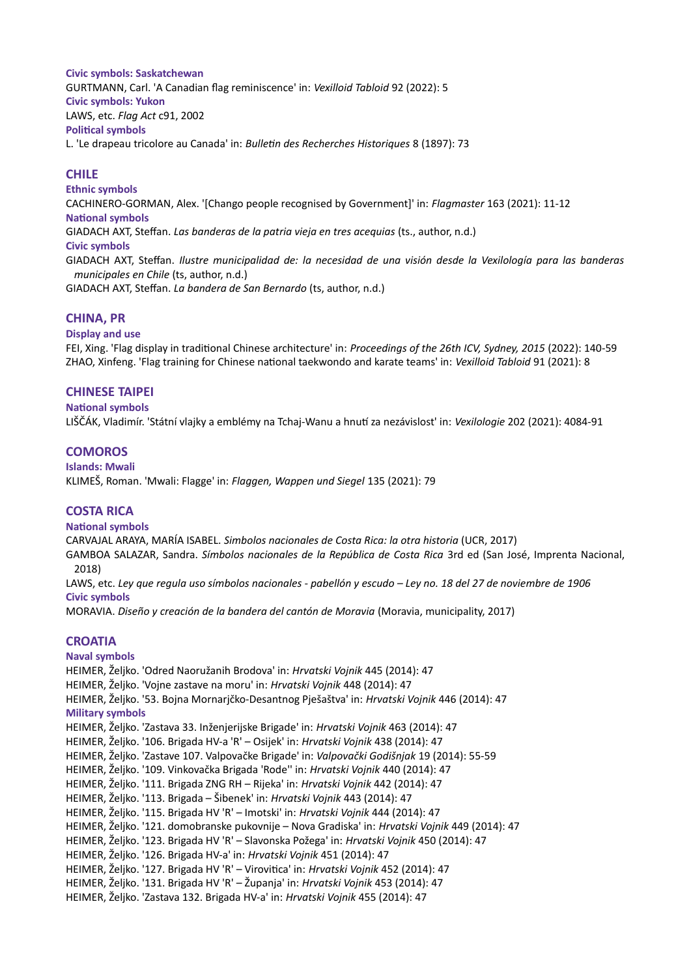**Civic symbols: Saskatchewan** GURTMANN, Carl. 'A Canadian flag reminiscence' in: *Vexilloid Tabloid* 92 (2022): 5 **Civic symbols: Yukon** LAWS, etc. *Flag Act* c91, 2002 **Political symbols** L. 'Le drapeau tricolore au Canada' in: *Bulletin des Recherches Historiques* 8 (1897): 73

## **CHILE**

**Ethnic symbols** CACHINERO-GORMAN, Alex. '[Chango people recognised by Government]' in: *Flagmaster* 163 (2021): 11-12 **National symbols** GIADACH AXT, Steffan. *Las banderas de la patria vieja en tres acequias* (ts., author, n.d.) **Civic symbols** GIADACH AXT, Steffan. *Ilustre municipalidad de: la necesidad de una visión desde la Vexilología para las banderas municipales en Chile* (ts, author, n.d.) GIADACH AXT, Steffan. *La bandera de San Bernardo* (ts, author, n.d.)

## **CHINA, PR**

#### **Display and use**

FEI, Xing. 'Flag display in traditional Chinese architecture' in: *Proceedings of the 26th ICV, Sydney, 2015* (2022): 140-59 ZHAO, Xinfeng. 'Flag training for Chinese national taekwondo and karate teams' in: *Vexilloid Tabloid* 91 (2021): 8

## **CHINESE TAIPEI**

### **National symbols**

LIŠČÁK, Vladimír. 'Státní vlajky a emblémy na Tchaj-Wanu a hnutí za nezávislost' in: *Vexilologie* 202 (2021): 4084-91

### **COMOROS**

## **Islands: Mwali**

KLIMEŠ, Roman. 'Mwali: Flagge' in: *Flaggen, Wappen und Siegel* 135 (2021): 79

## **COSTA RICA**

#### **National symbols**

CARVAJAL ARAYA, MARÍA ISABEL. *Simbolos nacionales de Costa Rica: la otra historia* (UCR, 2017) GAMBOA SALAZAR, Sandra. *Símbolos nacionales de la República de Costa Rica* 3rd ed (San José, Imprenta Nacional,

2018)

LAWS, etc. *Ley que regula uso símbolos nacionales - pabellón y escudo – Ley no. 18 del 27 de noviembre de 1906* **Civic symbols**

MORAVIA. *Diseño y creación de la bandera del cantón de Moravia* (Moravia, municipality, 2017)

### **CROATIA**

## **Naval symbols**

HEIMER, Željko. 'Odred Naoružanih Brodova' in: *Hrvatski Vojnik* 445 (2014): 47 HEIMER, Željko. 'Vojne zastave na moru' in: *Hrvatski Vojnik* 448 (2014): 47 HEIMER, Željko. '53. Bojna Mornarjčko-Desantnog Pješaštva' in: *Hrvatski Vojnik* 446 (2014): 47 **Military symbols** HEIMER, Željko. 'Zastava 33. Inženjerijske Brigade' in: *Hrvatski Vojnik* 463 (2014): 47 HEIMER, Željko. '106. Brigada HV-a 'R' – Osijek' in: *Hrvatski Vojnik* 438 (2014): 47 HEIMER, Željko. 'Zastave 107. Valpovačke Brigade' in: *Valpovački Godišnjak* 19 (2014): 55-59 HEIMER, Željko. '109. Vinkovačka Brigada 'Rode'' in: *Hrvatski Vojnik* 440 (2014): 47 HEIMER, Željko. '111. Brigada ZNG RH – Rijeka' in: *Hrvatski Vojnik* 442 (2014): 47 HEIMER, Željko. '113. Brigada – Šibenek' in: *Hrvatski Vojnik* 443 (2014): 47 HEIMER, Željko. '115. Brigada HV 'R' – Imotski' in: *Hrvatski Vojnik* 444 (2014): 47 HEIMER, Željko. '121. domobranske pukovnije – Nova Gradiska' in: *Hrvatski Vojnik* 449 (2014): 47 HEIMER, Željko. '123. Brigada HV 'R' – Slavonska Požega' in: *Hrvatski Vojnik* 450 (2014): 47 HEIMER, Željko. '126. Brigada HV-a' in: *Hrvatski Vojnik* 451 (2014): 47 HEIMER, Željko. '127. Brigada HV 'R' – Virovitica' in: *Hrvatski Vojnik* 452 (2014): 47 HEIMER, Željko. '131. Brigada HV 'R' – Županja' in: *Hrvatski Vojnik* 453 (2014): 47 HEIMER, Željko. 'Zastava 132. Brigada HV-a' in: *Hrvatski Vojnik* 455 (2014): 47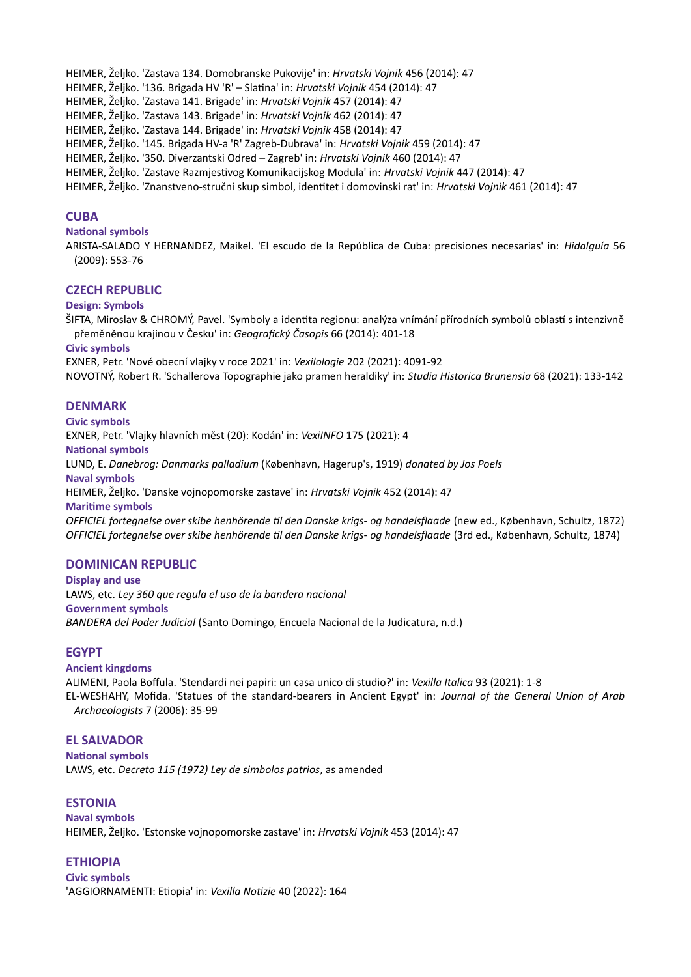HEIMER, Željko. 'Zastava 134. Domobranske Pukovije' in: *Hrvatski Vojnik* 456 (2014): 47 HEIMER, Željko. '136. Brigada HV 'R' – Slatina' in: *Hrvatski Vojnik* 454 (2014): 47 HEIMER, Željko. 'Zastava 141. Brigade' in: *Hrvatski Vojnik* 457 (2014): 47 HEIMER, Željko. 'Zastava 143. Brigade' in: *Hrvatski Vojnik* 462 (2014): 47 HEIMER, Željko. 'Zastava 144. Brigade' in: *Hrvatski Vojnik* 458 (2014): 47 HEIMER, Željko. '145. Brigada HV-a 'R' Zagreb-Dubrava' in: *Hrvatski Vojnik* 459 (2014): 47 HEIMER, Željko. '350. Diverzantski Odred – Zagreb' in: *Hrvatski Vojnik* 460 (2014): 47 HEIMER, Željko. 'Zastave Razmjestivog Komunikacijskog Modula' in: *Hrvatski Vojnik* 447 (2014): 47 HEIMER, Željko. 'Znanstveno-stručni skup simbol, identitet i domovinski rat' in: *Hrvatski Vojnik* 461 (2014): 47

### **CUBA**

**National symbols**

ARISTA-SALADO Y HERNANDEZ, Maikel. 'El escudo de la República de Cuba: precisiones necesarias' in: *Hidalguía* 56 (2009): 553-76

### **CZECH REPUBLIC**

#### **Design: Symbols**

ŠIFTA, Miroslav & CHROMÝ, Pavel. 'Symboly a identita regionu: analýza vnímání přírodních symbolů oblastí s intenzivně přeměněnou krajinou v Česku' in: *Geografický Časopis* 66 (2014): 401-18

#### **Civic symbols**

EXNER, Petr. 'Nové obecní vlajky v roce 2021' in: *Vexilologie* 202 (2021): 4091-92 NOVOTNÝ, Robert R. 'Schallerova Topographie jako pramen heraldiky' in: *Studia Historica Brunensia* 68 (2021): 133-142

#### **DENMARK**

**Civic symbols**

EXNER, Petr. 'Vlajky hlavních měst (20): Kodán' in: *VexiINFO* 175 (2021): 4

**National symbols**

LUND, E. *Danebrog: Danmarks palladium* (København, Hagerup's, 1919) *donated by Jos Poels*

**Naval symbols**

HEIMER, Željko. 'Danske vojnopomorske zastave' in: *Hrvatski Vojnik* 452 (2014): 47

#### **Maritime symbols**

*OFFICIEL fortegnelse over skibe henhörende til den Danske krigs- og handelsflaade* (new ed., København, Schultz, 1872) *OFFICIEL fortegnelse over skibe henhörende til den Danske krigs- og handelsflaade* (3rd ed., København, Schultz, 1874)

### **DOMINICAN REPUBLIC**

**Display and use** LAWS, etc. *Ley 360 que regula el uso de la bandera nacional* **Government symbols** *BANDERA del Poder Judicial* (Santo Domingo, Encuela Nacional de la Judicatura, n.d.)

#### **EGYPT**

#### **Ancient kingdoms**

ALIMENI, Paola Boffula. 'Stendardi nei papiri: un casa unico di studio?' in: *Vexilla Italica* 93 (2021): 1-8 EL-WESHAHY, Mofida. 'Statues of the standard-bearers in Ancient Egypt' in: *Journal of the General Union of Arab Archaeologists* 7 (2006): 35-99

## **EL SALVADOR**

**National symbols**

LAWS, etc. *Decreto 115 (1972) Ley de simbolos patrios*, as amended

#### **ESTONIA**

**Naval symbols** HEIMER, Željko. 'Estonske vojnopomorske zastave' in: *Hrvatski Vojnik* 453 (2014): 47

## **ETHIOPIA**

**Civic symbols** 'AGGIORNAMENTI: Etiopia' in: *Vexilla Notizie* 40 (2022): 164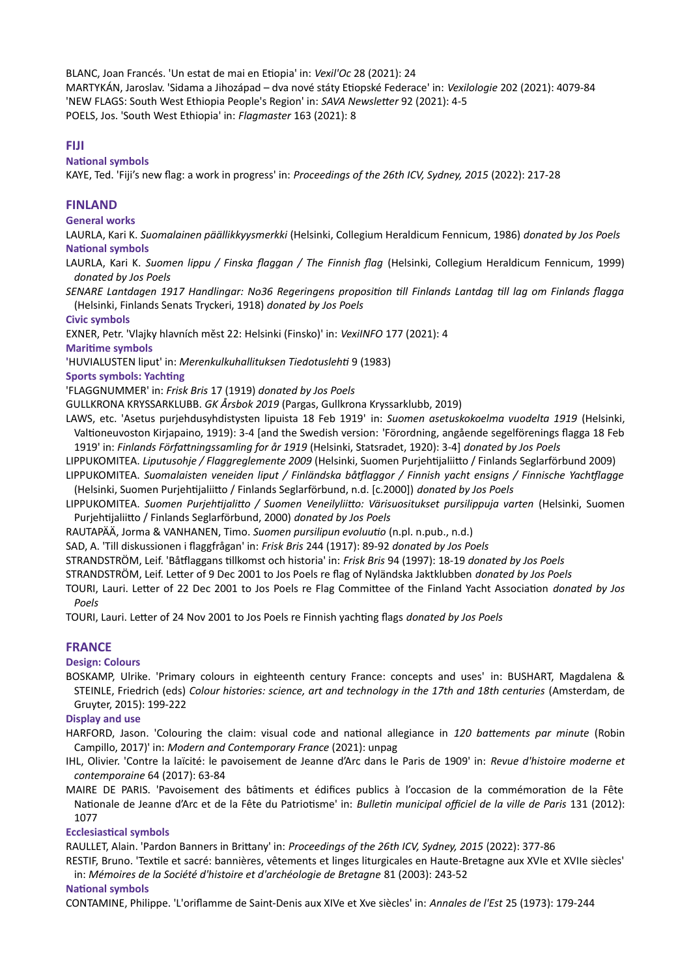BLANC, Joan Francés. 'Un estat de mai en Etiopia' in: *Vexil'Oc* 28 (2021): 24 MARTYKÁN, Jaroslav. 'Sidama a Jihozápad – dva nové státy Etiopské Federace' in: *Vexilologie* 202 (2021): 4079-84 'NEW FLAGS: South West Ethiopia People's Region' in: *SAVA Newsletter* 92 (2021): 4-5 POELS, Jos. 'South West Ethiopia' in: *Flagmaster* 163 (2021): 8

## **FIJI**

**National symbols**

KAYE, Ted. 'Fiji's new flag: a work in progress' in: *Proceedings of the 26th ICV, Sydney, 2015* (2022): 217-28

## **FINLAND**

**General works**

LAURLA, Kari K. *Suomalainen päällikkyysmerkki* (Helsinki, Collegium Heraldicum Fennicum, 1986) *donated by Jos Poels* **National symbols**

LAURLA, Kari K. *Suomen lippu / Finska flaggan / The Finnish flag* (Helsinki, Collegium Heraldicum Fennicum, 1999) *donated by Jos Poels*

*SENARE Lantdagen 1917 Handlingar: No36 Regeringens proposition till Finlands Lantdag till lag om Finlands flagga* (Helsinki, Finlands Senats Tryckeri, 1918) *donated by Jos Poels*

### **Civic symbols**

EXNER, Petr. 'Vlajky hlavních měst 22: Helsinki (Finsko)' in: *VexiINFO* 177 (2021): 4

**Maritime symbols**

**'**HUVIALUSTEN liput' in: *Merenkulkuhallituksen Tiedotuslehti* 9 (1983)

### **Sports symbols: Yachting**

'FLAGGNUMMER' in: *Frisk Bris* 17 (1919) *donated by Jos Poels*

GULLKRONA KRYSSARKLUBB. *GK Årsbok 2019* (Pargas, Gullkrona Kryssarklubb, 2019)

LAWS, etc. 'Asetus purjehdusyhdistysten lipuista 18 Feb 1919' in: *Suomen asetuskokoelma vuodelta 1919* (Helsinki, Valtioneuvoston Kirjapaino, 1919): 3-4 [and the Swedish version: 'Förordning, angående segelförenings flagga 18 Feb 1919' in: *Finlands Författningssamling for år 1919* (Helsinki, Statsradet, 1920): 3-4] *donated by Jos Poels*

LIPPUKOMITEA. *Liputusohje / Flaggreglemente 2009* (Helsinki, Suomen Purjehtijaliitto / Finlands Seglarförbund 2009)

LIPPUKOMITEA. *Suomalaisten veneiden liput / Finländska båtflaggor / Finnish yacht ensigns / Finnische Yachtflagge* (Helsinki, Suomen Purjehtijaliitto / Finlands Seglarförbund, n.d. [c.2000]) *donated by Jos Poels*

LIPPUKOMITEA. *Suomen Purjehtijalitto / Suomen Veneilyliitto: Värisuositukset pursilippuja varten* (Helsinki, Suomen Purjehtijaliitto / Finlands Seglarförbund, 2000) *donated by Jos Poels*

RAUTAPÄÄ, Jorma & VANHANEN, Timo. *Suomen pursilipun evoluutio* (n.pl. n.pub., n.d.)

SAD, A. 'Till diskussionen i flaggfrågan' in: *Frisk Bris* 244 (1917): 89-92 *donated by Jos Poels*

STRANDSTRÖM, Leif. 'Båtflaggans tillkomst och historia' in: *Frisk Bris* 94 (1997): 18-19 *donated by Jos Poels*

STRANDSTRÖM, Leif. Letter of 9 Dec 2001 to Jos Poels re flag of Nyländska Jaktklubben *donated by Jos Poels*

TOURI, Lauri. Letter of 22 Dec 2001 to Jos Poels re Flag Committee of the Finland Yacht Association *donated by Jos Poels*

TOURI, Lauri. Letter of 24 Nov 2001 to Jos Poels re Finnish yachting flags *donated by Jos Poels*

## **FRANCE**

## **Design: Colours**

BOSKAMP, Ulrike. 'Primary colours in eighteenth century France: concepts and uses' in: BUSHART, Magdalena & STEINLE, Friedrich (eds) Colour histories: science, art and technology in the 17th and 18th centuries (Amsterdam, de Gruyter, 2015): 199-222

## **Display and use**

HARFORD, Jason. 'Colouring the claim: visual code and national allegiance in *120 battements par minute* (Robin Campillo, 2017)' in: *Modern and Contemporary France* (2021): unpag

IHL, Olivier. 'Contre la laïcité: le pavoisement de Jeanne d'Arc dans le Paris de 1909' in: *Revue d'histoire moderne et contemporaine* 64 (2017): 63-84

MAIRE DE PARIS. 'Pavoisement des bâtiments et édifices publics à l'occasion de la commémoration de la Fête Nationale de Jeanne d'Arc et de la Fête du Patriotisme' in: *Bulletin municipal officiel de la ville de Paris* 131 (2012): 1077

## **Ecclesiastical symbols**

RAULLET, Alain. 'Pardon Banners in Brittany' in: *Proceedings of the 26th ICV, Sydney, 2015* (2022): 377-86

RESTIF, Bruno. 'Textile et sacré: bannières, vêtements et linges liturgicales en Haute-Bretagne aux XVIe et XVIIe siècles' in: *Mémoires de la Société d'histoire et d'archéologie de Bretagne* 81 (2003): 243-52

## **National symbols**

CONTAMINE, Philippe. 'L'oriflamme de Saint-Denis aux XIVe et Xve siècles' in: *Annales de l'Est* 25 (1973): 179-244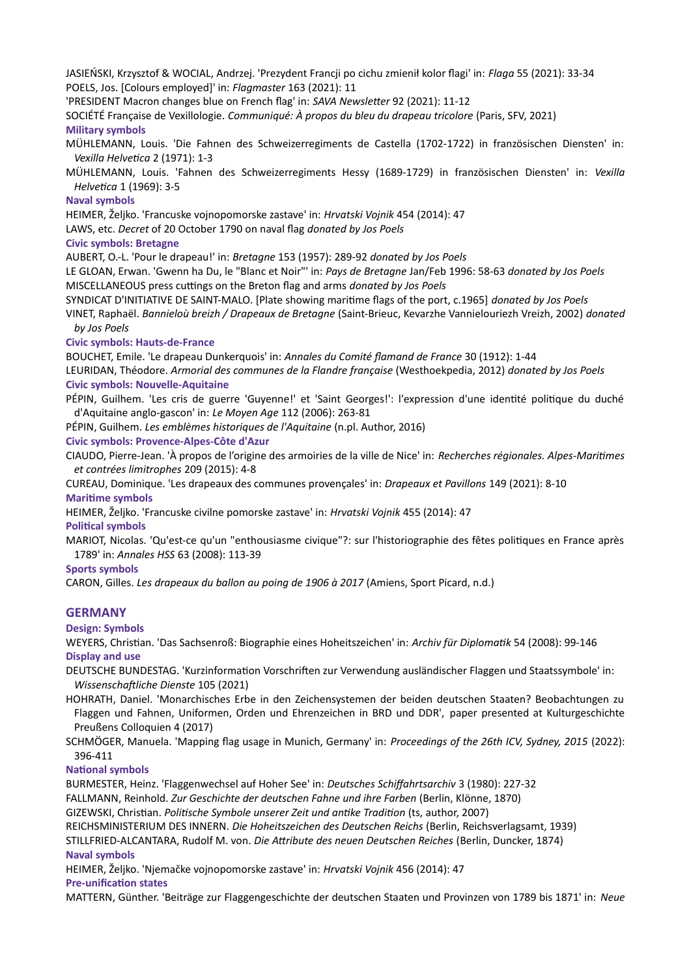JASIEŃSKI, Krzysztof & WOCIAL, Andrzej. 'Prezydent Francji po cichu zmienił kolor flagi' in: *Flaga* 55 (2021): 33-34 POELS, Jos. [Colours employed]' in: *Flagmaster* 163 (2021): 11

'PRESIDENT Macron changes blue on French flag' in: *SAVA Newsletter* 92 (2021): 11-12

SOCIÉTÉ Française de Vexillologie. *Communiqué: À propos du bleu du drapeau tricolore* (Paris, SFV, 2021)

## **Military symbols**

MÜHLEMANN, Louis. 'Die Fahnen des Schweizerregiments de Castella (1702-1722) in französischen Diensten' in: *Vexilla Helvetica* 2 (1971): 1-3

MÜHLEMANN, Louis. 'Fahnen des Schweizerregiments Hessy (1689-1729) in französischen Diensten' in: *Vexilla Helvetica* 1 (1969): 3-5

## **Naval symbols**

HEIMER, Željko. 'Francuske vojnopomorske zastave' in: *Hrvatski Vojnik* 454 (2014): 47

LAWS, etc. *Decret* of 20 October 1790 on naval flag *donated by Jos Poels*

### **Civic symbols: Bretagne**

AUBERT, O.-L. 'Pour le drapeau!' in: *Bretagne* 153 (1957): 289-92 *donated by Jos Poels*

LE GLOAN, Erwan. 'Gwenn ha Du, le "Blanc et Noir"' in: *Pays de Bretagne* Jan/Feb 1996: 58-63 *donated by Jos Poels* MISCELLANEOUS press cuttings on the Breton flag and arms *donated by Jos Poels*

SYNDICAT D'INITIATIVE DE SAINT-MALO. [Plate showing maritime flags of the port, c.1965] *donated by Jos Poels* VINET, Raphaël. *Bannieloù breizh / Drapeaux de Bretagne* (Saint-Brieuc, Kevarzhe Vannielouriezh Vreizh, 2002) *donated by Jos Poels*

## **Civic symbols: Hauts-de-France**

BOUCHET, Emile. 'Le drapeau Dunkerquois' in: *Annales du Comité flamand de France* 30 (1912): 1-44

LEURIDAN, Théodore. *Armorial des communes de la Flandre française* (Westhoekpedia, 2012) *donated by Jos Poels* **Civic symbols: Nouvelle-Aquitaine**

PÉPIN, Guilhem. 'Les cris de guerre 'Guyenne!' et 'Saint Georges!': l'expression d'une identité politique du duché d'Aquitaine anglo-gascon' in: *Le Moyen Age* 112 (2006): 263-81

PÉPIN, Guilhem. *Les emblèmes historiques de l'Aquitaine* (n.pl. Author, 2016)

### **Civic symbols: Provence-Alpes-Côte d'Azur**

CIAUDO, Pierre-Jean. 'À propos de l'origine des armoiries de la ville de Nice' in: *Recherches régionales. Alpes-Maritimes et contrées limitrophes* 209 (2015): 4-8

CUREAU, Dominique. 'Les drapeaux des communes provençales' in: *Drapeaux et Pavillons* 149 (2021): 8-10 **Maritime symbols**

HEIMER, Željko. 'Francuske civilne pomorske zastave' in: *Hrvatski Vojnik* 455 (2014): 47

**Political symbols**

MARIOT, Nicolas. 'Qu'est-ce qu'un "enthousiasme civique"?: sur l'historiographie des fêtes politiques en France après 1789' in: *Annales HSS* 63 (2008): 113-39

## **Sports symbols**

CARON, Gilles. *Les drapeaux du ballon au poing de 1906 à 2017* (Amiens, Sport Picard, n.d.)

## **GERMANY**

## **Design: Symbols**

WEYERS, Christian. 'Das Sachsenroß: Biographie eines Hoheitszeichen' in: *Archiv für Diplomatik* 54 (2008): 99-146 **Display and use**

DEUTSCHE BUNDESTAG. 'Kurzinformation Vorschriften zur Verwendung ausländischer Flaggen und Staatssymbole' in: *Wissenschaftliche Dienste* 105 (2021)

HOHRATH, Daniel. 'Monarchisches Erbe in den Zeichensystemen der beiden deutschen Staaten? Beobachtungen zu Flaggen und Fahnen, Uniformen, Orden und Ehrenzeichen in BRD und DDR', paper presented at Kulturgeschichte Preußens Colloquien 4 (2017)

SCHMÖGER, Manuela. 'Mapping flag usage in Munich, Germany' in: *Proceedings of the 26th ICV, Sydney, 2015* (2022): 396-411

## **National symbols**

BURMESTER, Heinz. 'Flaggenwechsel auf Hoher See' in: *Deutsches Schiffahrtsarchiv* 3 (1980): 227-32

FALLMANN, Reinhold. *Zur Geschichte der deutschen Fahne und ihre Farben* (Berlin, Klönne, 1870)

GIZEWSKI, Christian. *Politische Symbole unserer Zeit und antike Tradition* (ts, author, 2007)

REICHSMINISTERIUM DES INNERN. *Die Hoheitszeichen des Deutschen Reichs* (Berlin, Reichsverlagsamt, 1939)

STILLFRIED-ALCANTARA, Rudolf M. von. *Die Attribute des neuen Deutschen Reiches* (Berlin, Duncker, 1874) **Naval symbols**

HEIMER, Željko. 'Njemačke vojnopomorske zastave' in: *Hrvatski Vojnik* 456 (2014): 47

## **Pre-unification states**

MATTERN, Günther. 'Beiträge zur Flaggengeschichte der deutschen Staaten und Provinzen von 1789 bis 1871' in: *Neue*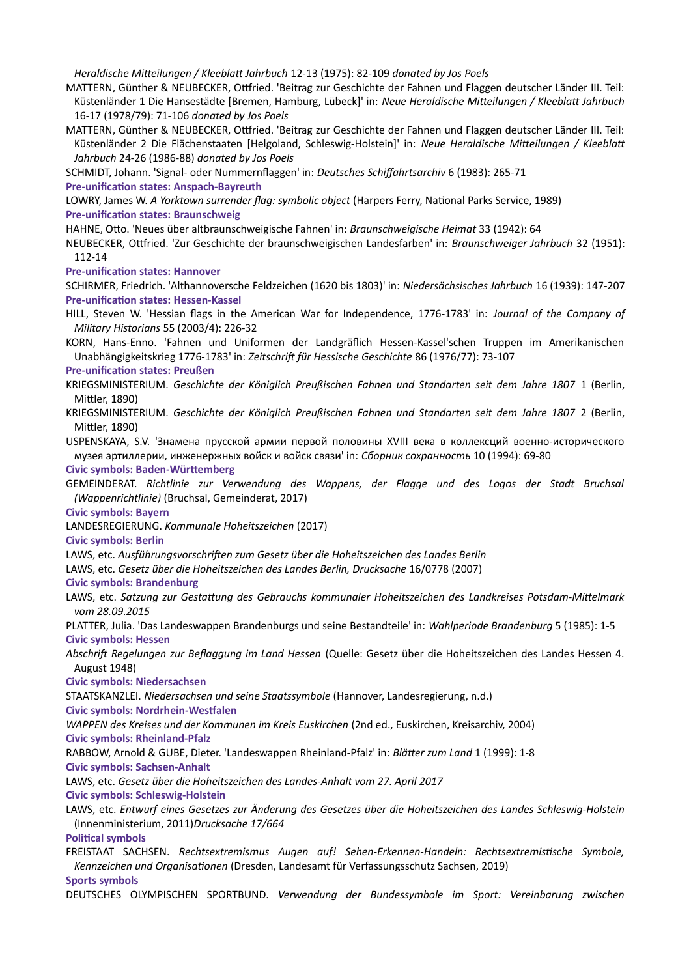*Heraldische Mitteilungen / Kleeblatt Jahrbuch* 12-13 (1975): 82-109 *donated by Jos Poels*

MATTERN, Günther & NEUBECKER, Ottfried. 'Beitrag zur Geschichte der Fahnen und Flaggen deutscher Länder III. Teil: Küstenländer 1 Die Hansestädte [Bremen, Hamburg, Lübeck]' in: *Neue Heraldische Mitteilungen / Kleeblatt Jahrbuch* 16-17 (1978/79): 71-106 *donated by Jos Poels*

MATTERN, Günther & NEUBECKER, Ottfried. 'Beitrag zur Geschichte der Fahnen und Flaggen deutscher Länder III. Teil: Küstenländer 2 Die Flächenstaaten [Helgoland, Schleswig-Holstein]' in: *Neue Heraldische Mitteilungen / Kleeblatt Jahrbuch* 24-26 (1986-88) *donated by Jos Poels*

SCHMIDT, Johann. 'Signal- oder Nummernflaggen' in: *Deutsches Schiffahrtsarchiv* 6 (1983): 265-71

**Pre-unification states: Anspach-Bayreuth**

LOWRY, James W. *A Yorktown surrender flag: symbolic object* (Harpers Ferry, National Parks Service, 1989) **Pre-unification states: Braunschweig**

HAHNE, Otto. 'Neues über altbraunschweigische Fahnen' in: *Braunschweigische Heimat* 33 (1942): 64

NEUBECKER, Ottfried. 'Zur Geschichte der braunschweigischen Landesfarben' in: *Braunschweiger Jahrbuch* 32 (1951): 112-14

**Pre-unification states: Hannover**

SCHIRMER, Friedrich. 'Althannoversche Feldzeichen (1620 bis 1803)' in: *Niedersächsisches Jahrbuch* 16 (1939): 147-207 **Pre-unification states: Hessen-Kassel**

HILL, Steven W. 'Hessian flags in the American War for Independence, 1776-1783' in: *Journal of the Company of Military Historians* 55 (2003/4): 226-32

KORN, Hans-Enno. 'Fahnen und Uniformen der Landgräflich Hessen-Kassel'schen Truppen im Amerikanischen Unabhängigkeitskrieg 1776-1783' in: *Zeitschrift für Hessische Geschichte* 86 (1976/77): 73-107

**Pre-unification states: Preußen**

KRIEGSMINISTERIUM. *Geschichte der Königlich Preußischen Fahnen und Standarten seit dem Jahre 1807* 1 (Berlin, Mittler, 1890)

KRIEGSMINISTERIUM. *Geschichte der Königlich Preußischen Fahnen und Standarten seit dem Jahre 1807* 2 (Berlin, Mittler, 1890)

USPENSKAYA, S.V. 'Знамена прусской армии первой половины ХVIII века в коллексций военно-исторического музея артиллерии, инженержных войск и войск связи' in: *Сборник сохранность* 10 (1994): 69-80

**Civic symbols: Baden-Württemberg**

GEMEINDERAT. *Richtlinie zur Verwendung des Wappens, der Flagge und des Logos der Stadt Bruchsal (Wappenrichtlinie)* (Bruchsal, Gemeinderat, 2017)

**Civic symbols: Bayern**

LANDESREGIERUNG. *Kommunale Hoheitszeichen* (2017)

**Civic symbols: Berlin**

LAWS, etc. *Ausführungsvorschriften zum Gesetz über die Hoheitszeichen des Landes Berlin*

LAWS, etc. *Gesetz über die Hoheitszeichen des Landes Berlin, Drucksache* 16/0778 (2007)

**Civic symbols: Brandenburg**

LAWS, etc. *Satzung zur Gestattung des Gebrauchs kommunaler Hoheitszeichen des Landkreises Potsdam-Mittelmark vom 28.09.2015*

PLATTER, Julia. 'Das Landeswappen Brandenburgs und seine Bestandteile' in: *Wahlperiode Brandenburg* 5 (1985): 1-5

**Civic symbols: Hessen**

*Abschrift Regelungen zur Beflaggung im Land Hessen* (Quelle: Gesetz über die Hoheitszeichen des Landes Hessen 4. August 1948)

**Civic symbols: Niedersachsen**

STAATSKANZLEI. *Niedersachsen und seine Staatssymbole* (Hannover, Landesregierung, n.d.)

**Civic symbols: Nordrhein-Westfalen**

*WAPPEN des Kreises und der Kommunen im Kreis Euskirchen* (2nd ed., Euskirchen, Kreisarchiv, 2004)

**Civic symbols: Rheinland-Pfalz**

RABBOW, Arnold & GUBE, Dieter. 'Landeswappen Rheinland-Pfalz' in: *Blätter zum Land* 1 (1999): 1-8

**Civic symbols: Sachsen-Anhalt**

LAWS, etc. *Gesetz über die Hoheitszeichen des Landes-Anhalt vom 27. April 2017*

**Civic symbols: Schleswig-Holstein**

LAWS, etc. *Entwurf eines Gesetzes zur Änderung des Gesetzes über die Hoheitszeichen des Landes Schleswig-Holstein* (Innenministerium, 2011)*Drucksache 17/664* 

**Political symbols**

FREISTAAT SACHSEN. *Rechtsextremismus Augen auf! Sehen-Erkennen-Handeln: Rechtsextremistische Symbole, Kennzeichen und Organisationen* (Dresden, Landesamt für Verfassungsschutz Sachsen, 2019)

## **Sports symbols**

DEUTSCHES OLYMPISCHEN SPORTBUND. *Verwendung der Bundessymbole im Sport: Vereinbarung zwischen*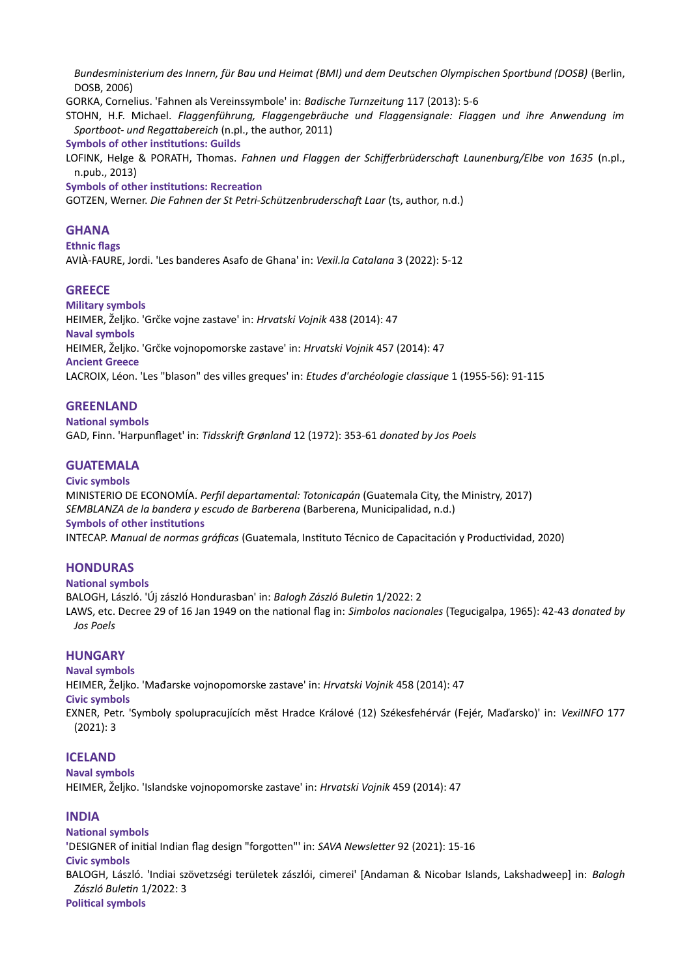*Bundesministerium des Innern, für Bau und Heimat (BMI) und dem Deutschen Olympischen Sportbund (DOSB)* (Berlin, DOSB, 2006)

GORKA, Cornelius. 'Fahnen als Vereinssymbole' in: *Badische Turnzeitung* 117 (2013): 5-6

STOHN, H.F. Michael. *Flaggenführung, Flaggengebräuche und Flaggensignale: Flaggen und ihre Anwendung im Sportboot- und Regattabereich* (n.pl., the author, 2011)

**Symbols of other institutions: Guilds**

LOFINK, Helge & PORATH, Thomas. *Fahnen und Flaggen der Schifferbrüderschaft Launenburg/Elbe von 1635* (n.pl., n.pub., 2013)

**Symbols of other institutions: Recreation**

GOTZEN, Werner. *Die Fahnen der St Petri-Schützenbruderschaft Laar* (ts, author, n.d.)

## **GHANA**

**Ethnic flags**

AVIÀ-FAURE, Jordi. 'Les banderes Asafo de Ghana' in: *Vexil.la Catalana* 3 (2022): 5-12

## **GREECE**

**Military symbols** HEIMER, Željko. 'Grčke vojne zastave' in: *Hrvatski Vojnik* 438 (2014): 47 **Naval symbols** HEIMER, Željko. 'Grčke vojnopomorske zastave' in: *Hrvatski Vojnik* 457 (2014): 47 **Ancient Greece** LACROIX, Léon. 'Les "blason" des villes greques' in: *Etudes d'archéologie classique* 1 (1955-56): 91-115

## **GREENLAND**

**National symbols**

GAD, Finn. 'Harpunflaget' in: *Tidsskrift Grønland* 12 (1972): 353-61 *donated by Jos Poels*

## **GUATEMALA**

**Civic symbols**

MINISTERIO DE ECONOMÍA. *Perfil departamental: Totonicapán* (Guatemala City, the Ministry, 2017) *SEMBLANZA de la bandera y escudo de Barberena* (Barberena, Municipalidad, n.d.) **Symbols of other institutions** INTECAP. *Manual de normas gráficas* (Guatemala, Instituto Técnico de Capacitación y Productividad, 2020)

## **HONDURAS**

#### **National symbols**

BALOGH, László. 'Új zászló Hondurasban' in: *Balogh Zászló Buletin* 1/2022: 2 LAWS, etc. Decree 29 of 16 Jan 1949 on the national flag in: *Simbolos nacionales* (Tegucigalpa, 1965): 42-43 *donated by Jos Poels*

## **HUNGARY**

**Naval symbols**

HEIMER, Željko. 'Mađarske vojnopomorske zastave' in: *Hrvatski Vojnik* 458 (2014): 47

**Civic symbols**

EXNER, Petr. 'Symboly spolupracujících měst Hradce Králové (12) Székesfehérvár (Fejér, Maďarsko)' in: *VexiINFO* 177 (2021): 3

## **ICELAND**

**Naval symbols** HEIMER, Željko. 'Islandske vojnopomorske zastave' in: *Hrvatski Vojnik* 459 (2014): 47

## **INDIA**

**National symbols '**DESIGNER of initial Indian flag design "forgotten"' in: *SAVA Newsletter* 92 (2021): 15-16 **Civic symbols** BALOGH, László. 'Indiai szövetzségi területek zászlói, cimerei' [Andaman & Nicobar Islands, Lakshadweep] in: *Balogh Zászló Buletin* 1/2022: 3 **Political symbols**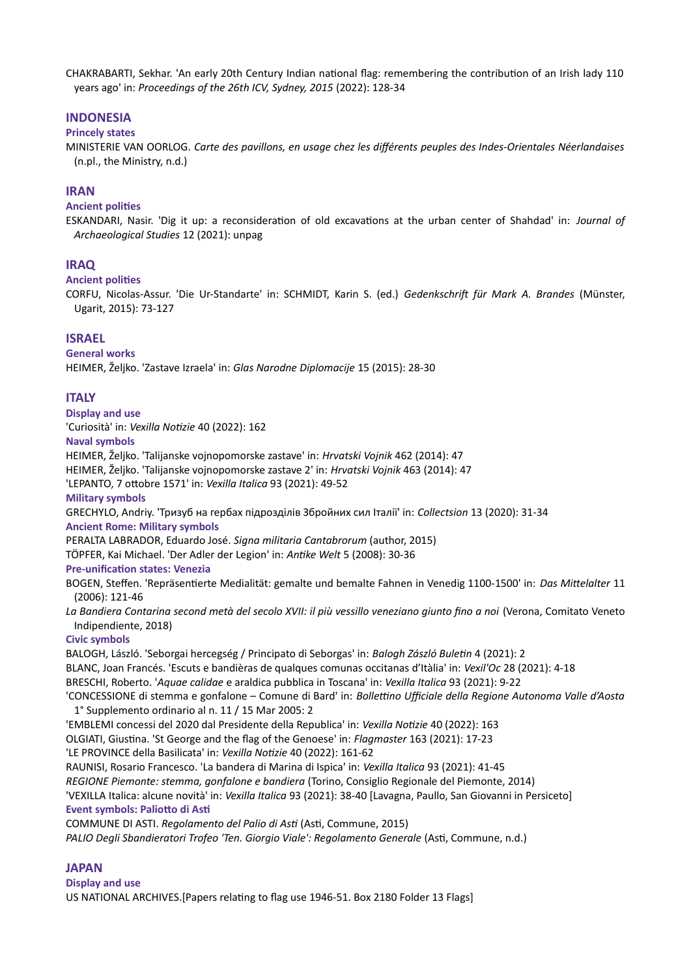CHAKRABARTI, Sekhar. 'An early 20th Century Indian national flag: remembering the contribution of an Irish lady 110 years ago' in: *Proceedings of the 26th ICV, Sydney, 2015* (2022): 128-34

## **INDONESIA**

#### **Princely states**

MINISTERIE VAN OORLOG. *Carte des pavillons, en usage chez les différents peuples des Indes-Orientales Néerlandaises* (n.pl., the Ministry, n.d.)

#### **IRAN**

#### **Ancient polities**

ESKANDARI, Nasir. 'Dig it up: a reconsideration of old excavations at the urban center of Shahdad' in: *Journal of Archaeological Studies* 12 (2021): unpag

## **IRAQ**

#### **Ancient polities**

CORFU, Nicolas-Assur. 'Die Ur-Standarte' in: SCHMIDT, Karin S. (ed.) *Gedenkschrift für Mark A. Brandes* (Münster, Ugarit, 2015): 73-127

#### **ISRAEL**

**General works** HEIMER, Željko. 'Zastave Izraela' in: *Glas Narodne Diplomacije* 15 (2015): 28-30

### **ITALY**

### **Display and use**

'Curiosità' in: *Vexilla Notizie* 40 (2022): 162

**Naval symbols**

HEIMER, Željko. 'Talijanske vojnopomorske zastave' in: *Hrvatski Vojnik* 462 (2014): 47

HEIMER, Željko. 'Talijanske vojnopomorske zastave 2' in: *Hrvatski Vojnik* 463 (2014): 47

'LEPANTO, 7 ottobre 1571' in: *Vexilla Italica* 93 (2021): 49-52

**Military symbols**

GRECHYLO, Andriy. 'Тризуб на гербах підрозділів Збройних сил Італії' in: *Collectsion* 13 (2020): 31-34

**Ancient Rome: Military symbols**

PERALTA LABRADOR, Eduardo José. *Signa militaria Cantabrorum* (author, 2015)

TÖPFER, Kai Michael. 'Der Adler der Legion' in: *Antike Welt* 5 (2008): 30-36

**Pre-unification states: Venezia**

BOGEN, Steffen. 'Repräsentierte Medialität: gemalte und bemalte Fahnen in Venedig 1100-1500' in: *Das Mittelalter* 11 (2006): 121-46

La Bandiera Contarina second metà del secolo XVII: il più vessillo veneziano giunto fino a noi (Verona, Comitato Veneto Indipendiente, 2018)

#### **Civic symbols**

BALOGH, László. 'Seborgai hercegség / Principato di Seborgas' in: *Balogh Zászló Buletin* 4 (2021): 2 BLANC, Joan Francés. 'Escuts e bandièras de qualques comunas occitanas d'Itàlia' in: *Vexil'Oc* 28 (2021): 4-18 BRESCHI, Roberto. '*Aquae calidae* e araldica pubblica in Toscana' in: *Vexilla Italica* 93 (2021): 9-22 'CONCESSIONE di stemma e gonfalone – Comune di Bard' in: *Bollettino Ufficiale della Regione Autonoma Valle d'Aosta* 1° Supplemento ordinario al n. 11 / 15 Mar 2005: 2

'EMBLEMI concessi del 2020 dal Presidente della Republica' in: *Vexilla Notizie* 40 (2022): 163

OLGIATI, Giustina. 'St George and the flag of the Genoese' in: *Flagmaster* 163 (2021): 17-23

'LE PROVINCE della Basilicata' in: *Vexilla Notizie* 40 (2022): 161-62

RAUNISI, Rosario Francesco. 'La bandera di Marina di Ispica' in: *Vexilla Italica* 93 (2021): 41-45

*REGIONE Piemonte: stemma, gonfalone e bandiera* (Torino, Consiglio Regionale del Piemonte, 2014)

'VEXILLA Italica: alcune novità' in: *Vexilla Italica* 93 (2021): 38-40 [Lavagna, Paullo, San Giovanni in Persiceto] **Event symbols: Paliotto di Asti**

COMMUNE DI ASTI. *Regolamento del Palio di Asti* (Asti, Commune, 2015)

PALIO Degli Sbandieratori Trofeo 'Ten. Giorgio Viale': Regolamento Generale (Asti, Commune, n.d.)

#### **JAPAN**

**Display and use** US NATIONAL ARCHIVES.[Papers relating to flag use 1946-51. Box 2180 Folder 13 Flags]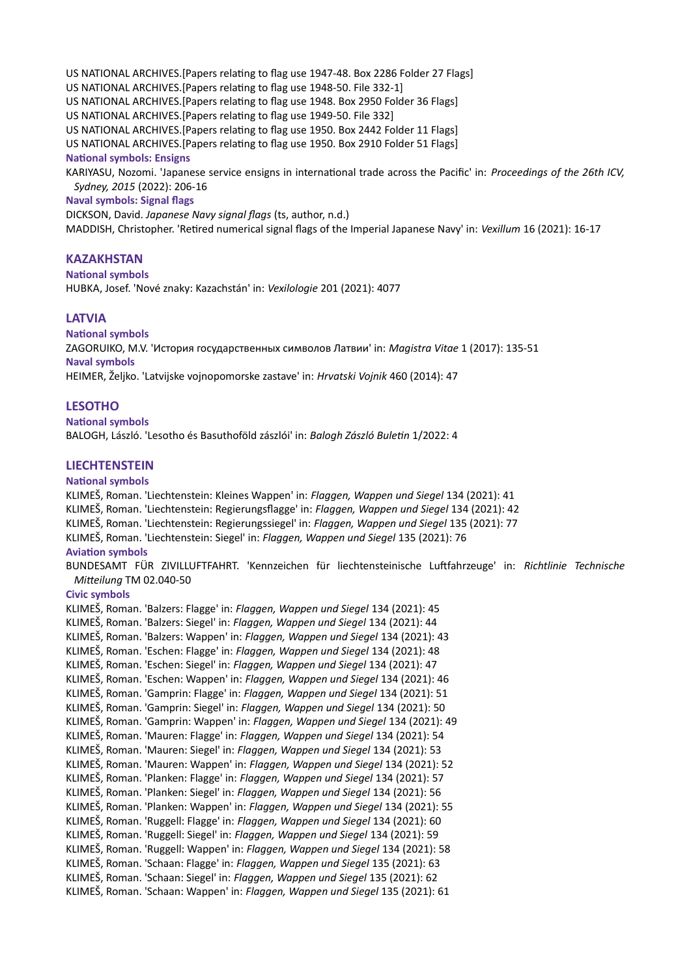US NATIONAL ARCHIVES.[Papers relating to flag use 1947-48. Box 2286 Folder 27 Flags] US NATIONAL ARCHIVES.[Papers relating to flag use 1948-50. File 332-1] US NATIONAL ARCHIVES.[Papers relating to flag use 1948. Box 2950 Folder 36 Flags] US NATIONAL ARCHIVES.[Papers relating to flag use 1949-50. File 332] US NATIONAL ARCHIVES.[Papers relating to flag use 1950. Box 2442 Folder 11 Flags] US NATIONAL ARCHIVES.[Papers relating to flag use 1950. Box 2910 Folder 51 Flags] **National symbols: Ensigns** KARIYASU, Nozomi. 'Japanese service ensigns in international trade across the Pacific' in: *Proceedings of the 26th ICV, Sydney, 2015* (2022): 206-16 **Naval symbols: Signal flags** DICKSON, David. *Japanese Navy signal flags* (ts, author, n.d.) MADDISH, Christopher. 'Retired numerical signal flags of the Imperial Japanese Navy' in: *Vexillum* 16 (2021): 16-17

## **KAZAKHSTAN**

**National symbols** HUBKA, Josef. 'Nové znaky: Kazachstán' in: *Vexilologie* 201 (2021): 4077

### **LATVIA**

**National symbols**

ZAGORUIKO, M.V. 'История государственных символов Латвии' in: *Magistra Vitae* 1 (2017): 135-51 **Naval symbols**

HEIMER, Željko. 'Latvijske vojnopomorske zastave' in: *Hrvatski Vojnik* 460 (2014): 47

### **LESOTHO**

**National symbols**

BALOGH, László. 'Lesotho és Basuthoföld zászlói' in: *Balogh Zászló Buletin* 1/2022: 4

## **LIECHTENSTEIN**

#### **National symbols**

KLIMEŠ, Roman. 'Liechtenstein: Kleines Wappen' in: *Flaggen, Wappen und Siegel* 134 (2021): 41

KLIMEŠ, Roman. 'Liechtenstein: Regierungsflagge' in: *Flaggen, Wappen und Siegel* 134 (2021): 42

KLIMEŠ, Roman. 'Liechtenstein: Regierungssiegel' in: *Flaggen, Wappen und Siegel* 135 (2021): 77

KLIMEŠ, Roman. 'Liechtenstein: Siegel' in: *Flaggen, Wappen und Siegel* 135 (2021): 76

#### **Aviation symbols**

BUNDESAMT FÜR ZIVILLUFTFAHRT. 'Kennzeichen für liechtensteinische Luftfahrzeuge' in: *Richtlinie Technische Mitteilung* TM 02.040-50

#### **Civic symbols**

KLIMEŠ, Roman. 'Balzers: Flagge' in: *Flaggen, Wappen und Siegel* 134 (2021): 45 KLIMEŠ, Roman. 'Balzers: Siegel' in: *Flaggen, Wappen und Siegel* 134 (2021): 44 KLIMEŠ, Roman. 'Balzers: Wappen' in: *Flaggen, Wappen und Siegel* 134 (2021): 43 KLIMEŠ, Roman. 'Eschen: Flagge' in: *Flaggen, Wappen und Siegel* 134 (2021): 48 KLIMEŠ, Roman. 'Eschen: Siegel' in: *Flaggen, Wappen und Siegel* 134 (2021): 47 KLIMEŠ, Roman. 'Eschen: Wappen' in: *Flaggen, Wappen und Siegel* 134 (2021): 46 KLIMEŠ, Roman. 'Gamprin: Flagge' in: *Flaggen, Wappen und Siegel* 134 (2021): 51 KLIMEŠ, Roman. 'Gamprin: Siegel' in: *Flaggen, Wappen und Siegel* 134 (2021): 50 KLIMEŠ, Roman. 'Gamprin: Wappen' in: *Flaggen, Wappen und Siegel* 134 (2021): 49 KLIMEŠ, Roman. 'Mauren: Flagge' in: *Flaggen, Wappen und Siegel* 134 (2021): 54 KLIMEŠ, Roman. 'Mauren: Siegel' in: *Flaggen, Wappen und Siegel* 134 (2021): 53 KLIMEŠ, Roman. 'Mauren: Wappen' in: *Flaggen, Wappen und Siegel* 134 (2021): 52 KLIMEŠ, Roman. 'Planken: Flagge' in: *Flaggen, Wappen und Siegel* 134 (2021): 57 KLIMEŠ, Roman. 'Planken: Siegel' in: *Flaggen, Wappen und Siegel* 134 (2021): 56 KLIMEŠ, Roman. 'Planken: Wappen' in: *Flaggen, Wappen und Siegel* 134 (2021): 55 KLIMEŠ, Roman. 'Ruggell: Flagge' in: *Flaggen, Wappen und Siegel* 134 (2021): 60 KLIMEŠ, Roman. 'Ruggell: Siegel' in: *Flaggen, Wappen und Siegel* 134 (2021): 59 KLIMEŠ, Roman. 'Ruggell: Wappen' in: *Flaggen, Wappen und Siegel* 134 (2021): 58 KLIMEŠ, Roman. 'Schaan: Flagge' in: *Flaggen, Wappen und Siegel* 135 (2021): 63 KLIMEŠ, Roman. 'Schaan: Siegel' in: *Flaggen, Wappen und Siegel* 135 (2021): 62 KLIMEŠ, Roman. 'Schaan: Wappen' in: *Flaggen, Wappen und Siegel* 135 (2021): 61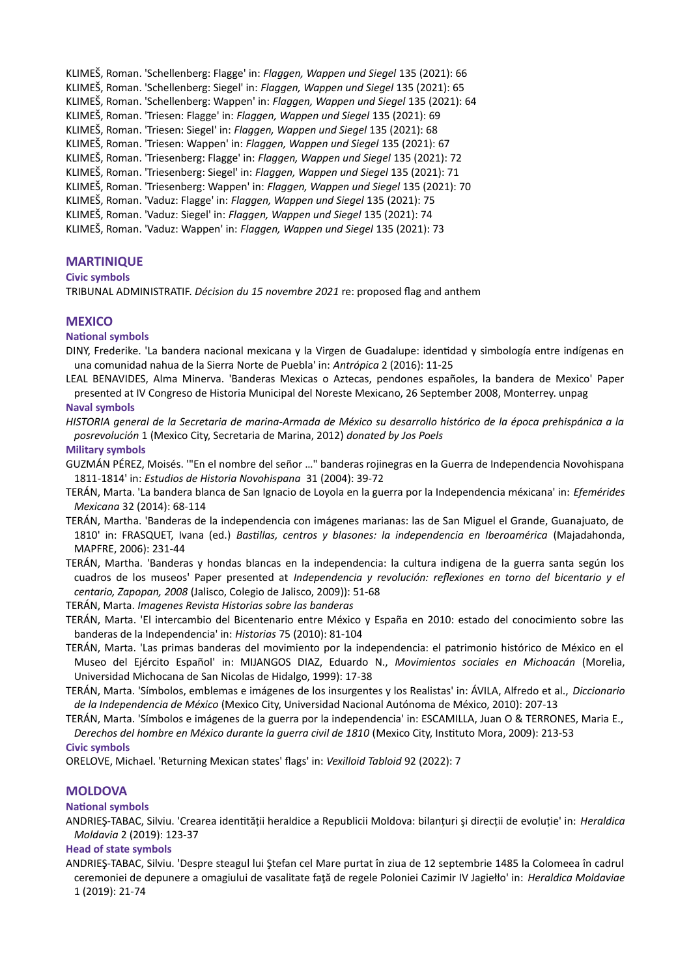KLIMEŠ, Roman. 'Schellenberg: Flagge' in: *Flaggen, Wappen und Siegel* 135 (2021): 66 KLIMEŠ, Roman. 'Schellenberg: Siegel' in: *Flaggen, Wappen und Siegel* 135 (2021): 65 KLIMEŠ, Roman. 'Schellenberg: Wappen' in: *Flaggen, Wappen und Siegel* 135 (2021): 64 KLIMEŠ, Roman. 'Triesen: Flagge' in: *Flaggen, Wappen und Siegel* 135 (2021): 69 KLIMEŠ, Roman. 'Triesen: Siegel' in: *Flaggen, Wappen und Siegel* 135 (2021): 68 KLIMEŠ, Roman. 'Triesen: Wappen' in: *Flaggen, Wappen und Siegel* 135 (2021): 67 KLIMEŠ, Roman. 'Triesenberg: Flagge' in: *Flaggen, Wappen und Siegel* 135 (2021): 72 KLIMEŠ, Roman. 'Triesenberg: Siegel' in: *Flaggen, Wappen und Siegel* 135 (2021): 71 KLIMEŠ, Roman. 'Triesenberg: Wappen' in: *Flaggen, Wappen und Siegel* 135 (2021): 70 KLIMEŠ, Roman. 'Vaduz: Flagge' in: *Flaggen, Wappen und Siegel* 135 (2021): 75 KLIMEŠ, Roman. 'Vaduz: Siegel' in: *Flaggen, Wappen und Siegel* 135 (2021): 74 KLIMEŠ, Roman. 'Vaduz: Wappen' in: *Flaggen, Wappen und Siegel* 135 (2021): 73

### **MARTINIQUE**

#### **Civic symbols**

TRIBUNAL ADMINISTRATIF. *Décision du 15 novembre 2021* re: proposed flag and anthem

#### **MEXICO**

#### **National symbols**

DINY, Frederike. 'La bandera nacional mexicana y la Virgen de Guadalupe: identidad y simbología entre indígenas en una comunidad nahua de la Sierra Norte de Puebla' in: *Antrópica* 2 (2016): 11-25

LEAL BENAVIDES, Alma Minerva. 'Banderas Mexicas o Aztecas, pendones españoles, la bandera de Mexico' Paper presented at IV Congreso de Historia Municipal del Noreste Mexicano, 26 September 2008, Monterrey. unpag

#### **Naval symbols**

*HISTORIA general de la Secretaria de marina-Armada de México su desarrollo histórico de la época prehispánica a la posrevolución* 1 (Mexico City, Secretaria de Marina, 2012) *donated by Jos Poels*

#### **Military symbols**

- GUZMÁN PÉREZ, Moisés. '"En el nombre del señor …" banderas rojinegras en la Guerra de Independencia Novohispana 1811-1814' in: *Estudios de Historia Novohispana* 31 (2004): 39-72
- TERÁN, Marta. 'La bandera blanca de San Ignacio de Loyola en la guerra por la Independencia méxicana' in: *Efemérides Mexicana* 32 (2014): 68-114
- TERÁN, Martha. 'Banderas de la independencia con imágenes marianas: las de San Miguel el Grande, Guanajuato, de 1810' in: FRASQUET, Ivana (ed.) *Bastillas, centros y blasones: la independencia en Iberoamérica* (Majadahonda, MAPFRE, 2006): 231-44
- TERÁN, Martha. 'Banderas y hondas blancas en la independencia: la cultura indigena de la guerra santa según los cuadros de los museos' Paper presented at *Independencia y revolución: reflexiones en torno del bicentario y el centario, Zapopan, 2008* (Jalisco, Colegio de Jalisco, 2009)): 51-68

TERÁN, Marta. *Imagenes Revista Historias sobre las banderas*

TERÁN, Marta. 'El intercambio del Bicentenario entre México y España en 2010: estado del conocimiento sobre las banderas de la Independencia' in: *Historias* 75 (2010): 81-104

TERÁN, Marta. 'Las primas banderas del movimiento por la independencia: el patrimonio histórico de México en el Museo del Ejército Español' in: MIJANGOS DIAZ, Eduardo N., *Movimientos sociales en Michoacán* (Morelia, Universidad Michocana de San Nicolas de Hidalgo, 1999): 17-38

TERÁN, Marta. 'Símbolos, emblemas e imágenes de los insurgentes y los Realistas' in: ÁVILA, Alfredo et al., *Diccionario de la Independencia de México* (Mexico City, Universidad Nacional Autónoma de México, 2010): 207-13

TERÁN, Marta. 'Símbolos e imágenes de la guerra por la independencia' in: ESCAMILLA, Juan O & TERRONES, Maria E., *Derechos del hombre en México durante la guerra civil de 1810* (Mexico City, Instituto Mora, 2009): 213-53

#### **Civic symbols**

ORELOVE, Michael. 'Returning Mexican states' flags' in: *Vexilloid Tabloid* 92 (2022): 7

## **MOLDOVA**

#### **National symbols**

ANDRIEŞ-TABAC, Silviu. 'Crearea identității heraldice a Republicii Moldova: bilanțuri şi direcții de evoluție' in: *Heraldica Moldavia* 2 (2019): 123-37

### **Head of state symbols**

ANDRIEŞ-TABAC, Silviu. 'Despre steagul lui Ştefan cel Mare purtat în ziua de 12 septembrie 1485 la Colomeea în cadrul ceremoniei de depunere a omagiului de vasalitate faţă de regele Poloniei Cazimir IV Jagiełło' in: *Heraldica Moldaviae* 1 (2019): 21-74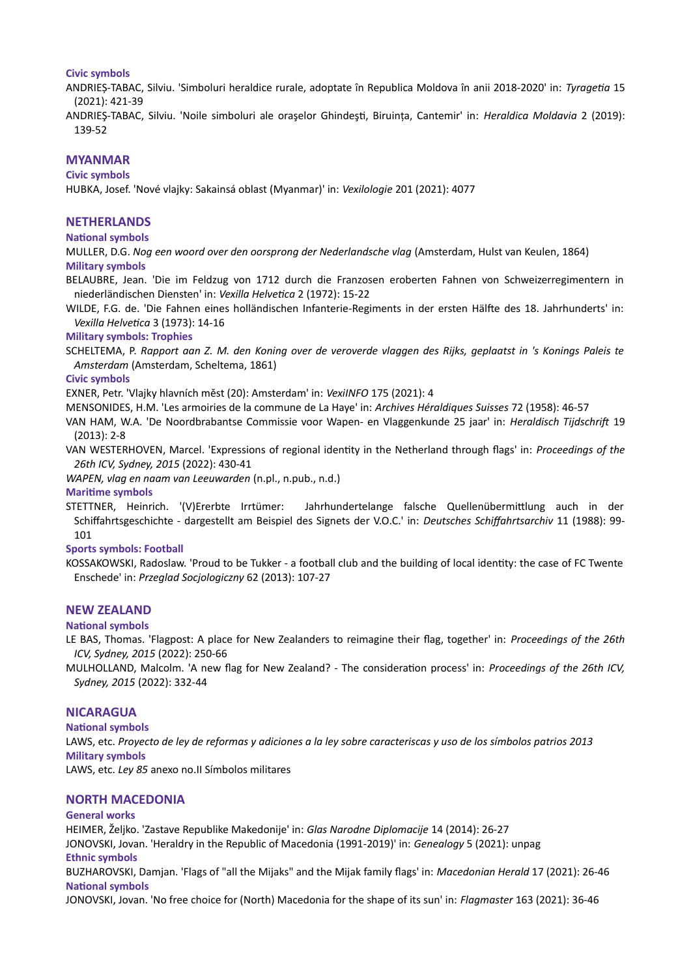#### **Civic symbols**

ANDRIEȘ-TABAC, Silviu. 'Simboluri heraldice rurale, adoptate în Republica Moldova în anii 2018-2020' in: *Tyragetia* 15 (2021): 421-39

ANDRIEŞ-TABAC, Silviu. 'Noile simboluri ale oraşelor Ghindeşti, Biruința, Cantemir' in: *Heraldica Moldavia* 2 (2019): 139-52

### **MYANMAR**

**Civic symbols**

HUBKA, Josef. 'Nové vlajky: Sakainsá oblast (Myanmar)' in: *Vexilologie* 201 (2021): 4077

## **NETHERLANDS**

### **National symbols**

MULLER, D.G. *Nog een woord over den oorsprong der Nederlandsche vlag* (Amsterdam, Hulst van Keulen, 1864) **Military symbols**

BELAUBRE, Jean. 'Die im Feldzug von 1712 durch die Franzosen eroberten Fahnen von Schweizerregimentern in niederländischen Diensten' in: *Vexilla Helvetica* 2 (1972): 15-22

WILDE, F.G. de. 'Die Fahnen eines holländischen Infanterie-Regiments in der ersten Hälfte des 18. Jahrhunderts' in: *Vexilla Helvetica* 3 (1973): 14-16

### **Military symbols: Trophies**

SCHELTEMA, P. *Rapport aan Z. M. den Koning over de veroverde vlaggen des Rijks, geplaatst in 's Konings Paleis te Amsterdam* (Amsterdam, Scheltema, 1861)

### **Civic symbols**

EXNER, Petr. 'Vlajky hlavních měst (20): Amsterdam' in: *VexiINFO* 175 (2021): 4

MENSONIDES, H.M. 'Les armoiries de la commune de La Haye' in: *Archives Héraldiques Suisses* 72 (1958): 46-57

VAN HAM, W.A. 'De Noordbrabantse Commissie voor Wapen- en Vlaggenkunde 25 jaar' in: *Heraldisch Tijdschrift* 19 (2013): 2-8

VAN WESTERHOVEN, Marcel. 'Expressions of regional identity in the Netherland through flags' in: *Proceedings of the 26th ICV, Sydney, 2015* (2022): 430-41

*WAPEN, vlag en naam van Leeuwarden* (n.pl., n.pub., n.d.)

#### **Maritime symbols**

STETTNER, Heinrich. '(V)Ererbte Irrtümer: Jahrhundertelange falsche Quellenübermittlung auch in der Schiffahrtsgeschichte - dargestellt am Beispiel des Signets der V.O.C.' in: *Deutsches Schiffahrtsarchiv* 11 (1988): 99- 101

#### **Sports symbols: Football**

KOSSAKOWSKI, Radoslaw. 'Proud to be Tukker - a football club and the building of local identity: the case of FC Twente Enschede' in: *Przeglad Socjologiczny* 62 (2013): 107-27

## **NEW ZEALAND**

#### **National symbols**

LE BAS, Thomas. 'Flagpost: A place for New Zealanders to reimagine their flag, together' in: *Proceedings of the 26th ICV, Sydney, 2015* (2022): 250-66

MULHOLLAND, Malcolm. 'A new flag for New Zealand? - The consideration process' in: *Proceedings of the 26th ICV, Sydney, 2015* (2022): 332-44

## **NICARAGUA**

**National symbols**

LAWS, etc. *Proyecto de ley de reformas y adiciones a la ley sobre caracteriscas y uso de los símbolos patrios 2013* **Military symbols**

LAWS, etc. *Ley 85* anexo no.II Símbolos militares

## **NORTH MACEDONIA**

### **General works**

HEIMER, Željko. 'Zastave Republike Makedonije' in: *Glas Narodne Diplomacije* 14 (2014): 26-27 JONOVSKI, Jovan. 'Heraldry in the Republic of Macedonia (1991-2019)' in: *Genealogy* 5 (2021): unpag **Ethnic symbols**

BUZHAROVSKI, Damjan. 'Flags of "all the Mijaks" and the Mijak family flags' in: *Macedonian Herald* 17 (2021): 26-46 **National symbols**

JONOVSKI, Jovan. 'No free choice for (North) Macedonia for the shape of its sun' in: *Flagmaster* 163 (2021): 36-46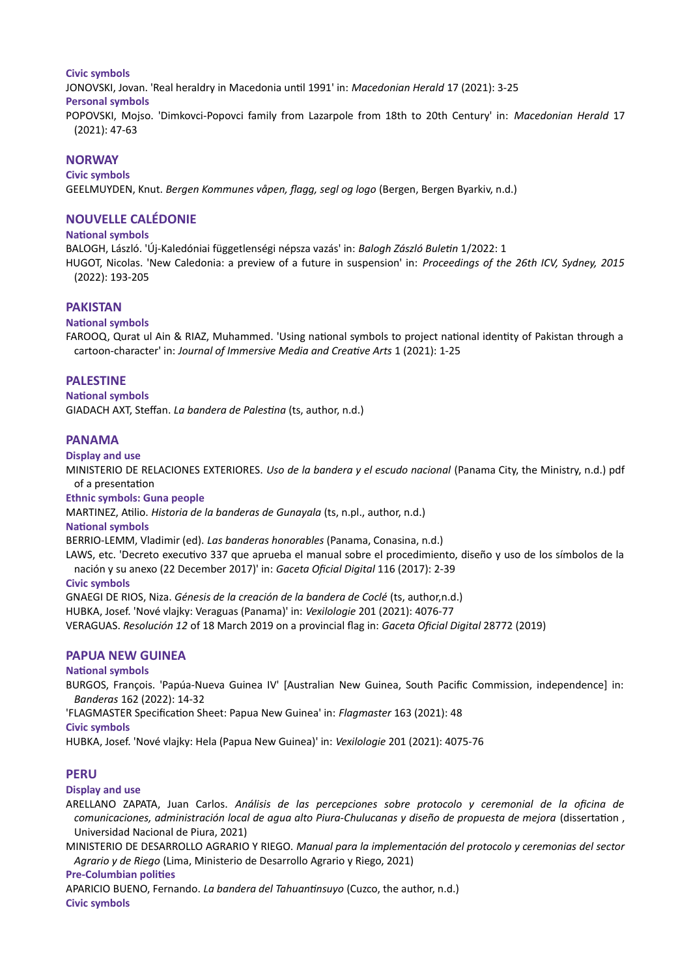### **Civic symbols**

JONOVSKI, Jovan. 'Real heraldry in Macedonia until 1991' in: *Macedonian Herald* 17 (2021): 3-25 **Personal symbols** POPOVSKI, Mojso. 'Dimkovci-Popovci family from Lazarpole from 18th to 20th Century' in: *Macedonian Herald* 17 (2021): 47-63

## **NORWAY**

### **Civic symbols**

GEELMUYDEN, Knut. *Bergen Kommunes våpen, flagg, segl og logo* (Bergen, Bergen Byarkiv, n.d.)

## **NOUVELLE CALÉDONIE**

## **National symbols**

BALOGH, László. 'Új-Kaledóniai függetlenségi népsza vazás' in: *Balogh Zászló Buletin* 1/2022: 1 HUGOT, Nicolas. 'New Caledonia: a preview of a future in suspension' in: *Proceedings of the 26th ICV, Sydney, 2015* (2022): 193-205

## **PAKISTAN**

### **National symbols**

FAROOQ, Qurat ul Ain & RIAZ, Muhammed. 'Using national symbols to project national identity of Pakistan through a cartoon-character' in: *Journal of Immersive Media and Creative Arts* 1 (2021): 1-25

## **PALESTINE**

**National symbols** GIADACH AXT, Steffan. *La bandera de Palestina* (ts, author, n.d.)

## **PANAMA**

#### **Display and use**

MINISTERIO DE RELACIONES EXTERIORES. *Uso de la bandera y el escudo nacional* (Panama City, the Ministry, n.d.) pdf of a presentation

**Ethnic symbols: Guna people**

MARTINEZ, Atilio. *Historia de la banderas de Gunayala* (ts, n.pl., author, n.d.)

**National symbols**

BERRIO-LEMM, Vladimir (ed). *Las banderas honorables* (Panama, Conasina, n.d.)

LAWS, etc. 'Decreto executivo 337 que aprueba el manual sobre el procedimiento, diseño y uso de los símbolos de la nación y su anexo (22 December 2017)' in: *Gaceta Oficial Digital* 116 (2017): 2-39

#### **Civic symbols**

GNAEGI DE RIOS, Niza. *Génesis de la creación de la bandera de Coclé* (ts, author,n.d.) HUBKA, Josef. 'Nové vlajky: Veraguas (Panama)' in: *Vexilologie* 201 (2021): 4076-77 VERAGUAS. *Resolución 12* of 18 March 2019 on a provincial flag in: *Gaceta Oficial Digital* 28772 (2019)

## **PAPUA NEW GUINEA**

## **National symbols**

BURGOS, François. 'Papúa-Nueva Guinea IV' [Australian New Guinea, South Pacific Commission, independence] in: *Banderas* 162 (2022): 14-32

'FLAGMASTER Specification Sheet: Papua New Guinea' in: *Flagmaster* 163 (2021): 48

## **Civic symbols**

HUBKA, Josef. 'Nové vlajky: Hela (Papua New Guinea)' in: *Vexilologie* 201 (2021): 4075-76

## **PERU**

## **Display and use**

ARELLANO ZAPATA, Juan Carlos. *Análisis de las percepciones sobre protocolo y ceremonial de la oficina de comunicaciones, administración local de agua alto Piura-Chulucanas y diseño de propuesta de mejora* (dissertation , Universidad Nacional de Piura, 2021)

MINISTERIO DE DESARROLLO AGRARIO Y RIEGO. *Manual para la implementación del protocolo y ceremonias del sector Agrario y de Riego* (Lima, Ministerio de Desarrollo Agrario y Riego, 2021)

#### **Pre-Columbian polities**

APARICIO BUENO, Fernando. *La bandera del Tahuantinsuyo* (Cuzco, the author, n.d.) **Civic symbols**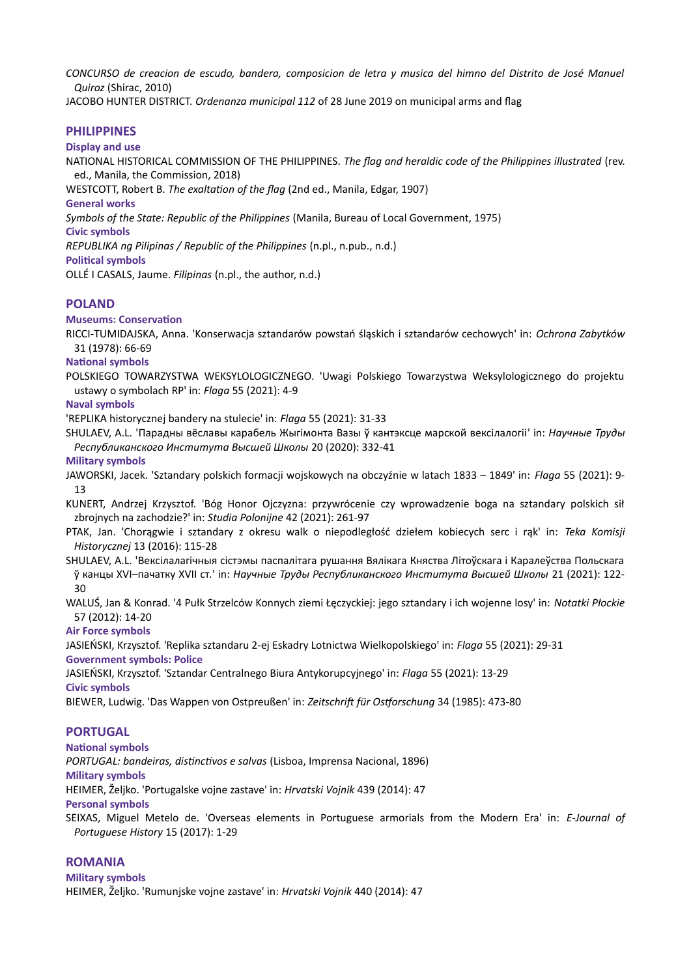*CONCURSO de creacion de escudo, bandera, composicion de letra y musica del himno del Distrito de José Manuel Quiroz* (Shirac, 2010)

JACOBO HUNTER DISTRICT. *Ordenanza municipal 112* of 28 June 2019 on municipal arms and flag

## **PHILIPPINES**

## **Display and use**

NATIONAL HISTORICAL COMMISSION OF THE PHILIPPINES. *The flag and heraldic code of the Philippines illustrated* (rev. ed., Manila, the Commission, 2018)

WESTCOTT, Robert B. *The exaltation of the flag* (2nd ed., Manila, Edgar, 1907)

**General works**

*Symbols of the State: Republic of the Philippines* (Manila, Bureau of Local Government, 1975)

**Civic symbols**

*REPUBLIKA ng Pilipinas / Republic of the Philippines* (n.pl., n.pub., n.d.)

**Political symbols**

OLLÉ I CASALS, Jaume. *Filipinas* (n.pl., the author, n.d.)

## **POLAND**

## **Museums: Conservation**

RICCI-TUMIDAJSKA, Anna. 'Konserwacja sztandarów powstań śląskich i sztandarów cechowych' in: *Ochrona Zabytków* 31 (1978): 66-69

## **National symbols**

POLSKIEGO TOWARZYSTWA WEKSYLOLOGICZNEGO. 'Uwagi Polskiego Towarzystwa Weksylologicznego do projektu ustawy o symbolach RP' in: *Flaga* 55 (2021): 4-9

## **Naval symbols**

'REPLIKA historycznej bandery na stulecie' in: *Flaga* 55 (2021): 31-33

SHULAEV, A.L. 'Парадны вёславы карабель Жыгімонта Вазы ў кантэксце марской вексілалогіі' in: *Научные Труды Республиканского Института Высшей Школы* 20 (2020): 332-41

## **Military symbols**

JAWORSKI, Jacek. 'Sztandary polskich formacji wojskowych na obczyźnie w latach 1833 – 1849' in: *Flaga* 55 (2021): 9- 13

KUNERT, Andrzej Krzysztof. 'Bóg Honor Ojczyzna: przywrócenie czy wprowadzenie boga na sztandary polskich sił zbrojnych na zachodzie?' in: *Studia Polonijne* 42 (2021): 261-97

PTAK, Jan. 'Chorągwie i sztandary z okresu walk o niepodległość dziełem kobiecych serc i rąk' in: *Teka Komisji Historycznej* 13 (2016): 115-28

SHULAEV, A.L. 'Вексілалагічныя сістэмы паспалітага рушання Вялікага Княства Літоўскага i Каралеўства Польскага ў канцы XVI–пачатку XVII ст.' in: *Научные Труды Республиканского Института Высшей Школы* 21 (2021): 122- 30

WALUŚ, Jan & Konrad. '4 Pułk Strzelców Konnych ziemi Łęczyckiej: jego sztandary i ich wojenne losy' in: *Notatki Płockie* 57 (2012): 14-20

## **Air Force symbols**

JASIEŃSKI, Krzysztof. 'Replika sztandaru 2-ej Eskadry Lotnictwa Wielkopolskiego' in: *Flaga* 55 (2021): 29-31 **Government symbols: Police**

JASIEŃSKI, Krzysztof. 'Sztandar Centralnego Biura Antykorupcyjnego' in: *Flaga* 55 (2021): 13-29 **Civic symbols**

BIEWER, Ludwig. 'Das Wappen von Ostpreußen' in: *Zeitschrift für Ostforschung* 34 (1985): 473-80

## **PORTUGAL**

**National symbols**

*PORTUGAL: bandeiras, distinctivos e salvas* (Lisboa, Imprensa Nacional, 1896)

**Military symbols**

HEIMER, Željko. 'Portugalske vojne zastave' in: *Hrvatski Vojnik* 439 (2014): 47

## **Personal symbols**

SEIXAS, Miguel Metelo de. 'Overseas elements in Portuguese armorials from the Modern Era' in: *E-Journal of Portuguese History* 15 (2017): 1-29

## **ROMANIA**

**Military symbols** HEIMER, Željko. 'Rumunjske vojne zastave' in: *Hrvatski Vojnik* 440 (2014): 47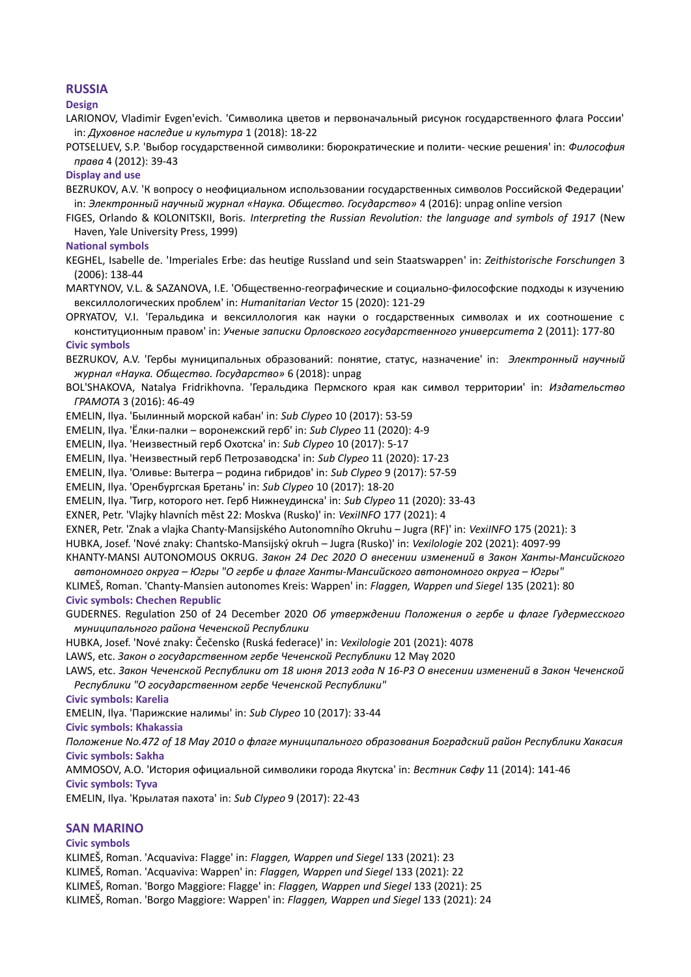### **RUSSIA**

**Design**

LARIONOV, Vladimir Evgen'evich. 'Символика цветов и первоначальный рисунок государственного флага России' in: *Духовное наследие и культура* 1 (2018): 18-22

POTSELUEV, S.P. 'Выбор государственной символики: бюрократические и полити- ческие решения' in: *Философия права* 4 (2012): 39-43

**Display and use**

BEZRUKOV, A.V. 'К вопросу о неофициальном использовании государственных символов Российской Федерации' in: *Электронный научный журнал «Наука. Общество. Государство»* 4 (2016): unpag online version

FIGES, Orlando & KOLONITSKII, Boris. *Interpreting the Russian Revolution: the language and symbols of 1917* (New Haven, Yale University Press, 1999)

#### **National symbols**

KEGHEL, Isabelle de. 'Imperiales Erbe: das heutige Russland und sein Staatswappen' in: *Zeithistorische Forschungen* 3 (2006): 138-44

MARTYNOV, V.L. & SAZANOVA, I.E. 'Общественно-географические и социально-философские подходы к изучению вексиллологических проблем' in: *Humanitarian Vector* 15 (2020): 121-29

OPRYATOV, V.I. 'Геральдика и вексиллология как науки о госдарственных символах и их соотношение с конституционным правом' in: *Ученые записки Орловского государственного университета* 2 (2011): 177-80 **Civic symbols**

BEZRUKOV, A.V. 'Гербы муниципальных образований: понятие, статус, назначение' in: *Электронный научный журнал «Наука. Общество. Государство»* 6 (2018): unpag

BOL'SHAKOVA, Natalya Fridrikhovna. 'Геральдика Пермского края как символ территории' in: *Издательство ГРАМОТА* 3 (2016): 46-49

EMELIN, Ilya. 'Былинный морской кабан' in: *Sub Clypeo* 10 (2017): 53-59

EMELIN, Ilya. 'Ёлки-палки – воронежский герб' in: *Sub Clypeo* 11 (2020): 4-9

EMELIN, Ilya. 'Неизвестный герб Охотска' in: *Sub Clypeo* 10 (2017): 5-17

EMELIN, Ilya. 'Неизвестный герб Петрозаводска' in: *Sub Clypeo* 11 (2020): 17-23

EMELIN, Ilya. 'Оливье: Вытегра – родина гибридов' in: *Sub Clypeo* 9 (2017): 57-59

EMELIN, Ilya. 'Оренбургская Бретань' in: *Sub Clypeo* 10 (2017): 18-20

EMELIN, Ilya. 'Тигр, которого нет. Герб Нижнеудинска' in: *Sub Clypeo* 11 (2020): 33-43

EXNER, Petr. 'Vlajky hlavních měst 22: Moskva (Rusko)' in: *VexiINFO* 177 (2021): 4

EXNER, Petr. 'Znak a vlajka Chanty-Mansijského Autonomního Okruhu – Jugra (RF)' in: *VexiINFO* 175 (2021): 3

HUBKA, Josef. 'Nové znaky: Chantsko-Mansijský okruh – Jugra (Rusko)' in: *Vexilologie* 202 (2021): 4097-99

KHANTY-MANSI AUTONOMOUS OKRUG. *Закон 24 Dec 2020 О внесении изменений в Закон Ханты-Мансийского автономного округа – Югры "О гербе и флаге Ханты-Мансийского автономного округа – Югры"*

KLIMEŠ, Roman. 'Chanty-Mansien autonomes Kreis: Wappen' in: *Flaggen, Wappen und Siegel* 135 (2021): 80 **Civic symbols: Chechen Republic**

GUDERNES. Regulation 250 of 24 December 2020 *Об утверждении Положения о гербе и флаге Гудермесского муниципального района Чеченской Республики*

HUBKA, Josef. 'Nové znaky: Čečensko (Ruská federace)' in: *Vexilologie* 201 (2021): 4078

LAWS, etc. *Закон о государственном гербе Чеченской Республики* 12 May 2020

LAWS, etc. *Закон Чеченской Республики от 18 июня 2013 года N 16-РЗ О внесении изменений в Закон Чеченской Республики "О государственном гербе Чеченской Республики"*

**Civic symbols: Karelia**

EMELIN, Ilya. 'Парижские налимы' in: *Sub Clypeo* 10 (2017): 33-44

**Civic symbols: Khakassia**

*Положение No.472 of 18 May 2010 о флаге муниципального образования Боградский район Республики Хакасия* **Civic symbols: Sakha**

AMMOSOV, A.O. 'История официальной символики города Якутска' in: *Вестник Свфу* 11 (2014): 141-46

**Civic symbols: Tyva**

EMELIN, Ilya. 'Крылатая пахота' in: *Sub Clypeo* 9 (2017): 22-43

### **SAN MARINO**

## **Civic symbols**

KLIMEŠ, Roman. 'Acquaviva: Flagge' in: *Flaggen, Wappen und Siegel* 133 (2021): 23 KLIMEŠ, Roman. 'Acquaviva: Wappen' in: *Flaggen, Wappen und Siegel* 133 (2021): 22 KLIMEŠ, Roman. 'Borgo Maggiore: Flagge' in: *Flaggen, Wappen und Siegel* 133 (2021): 25 KLIMEŠ, Roman. 'Borgo Maggiore: Wappen' in: *Flaggen, Wappen und Siegel* 133 (2021): 24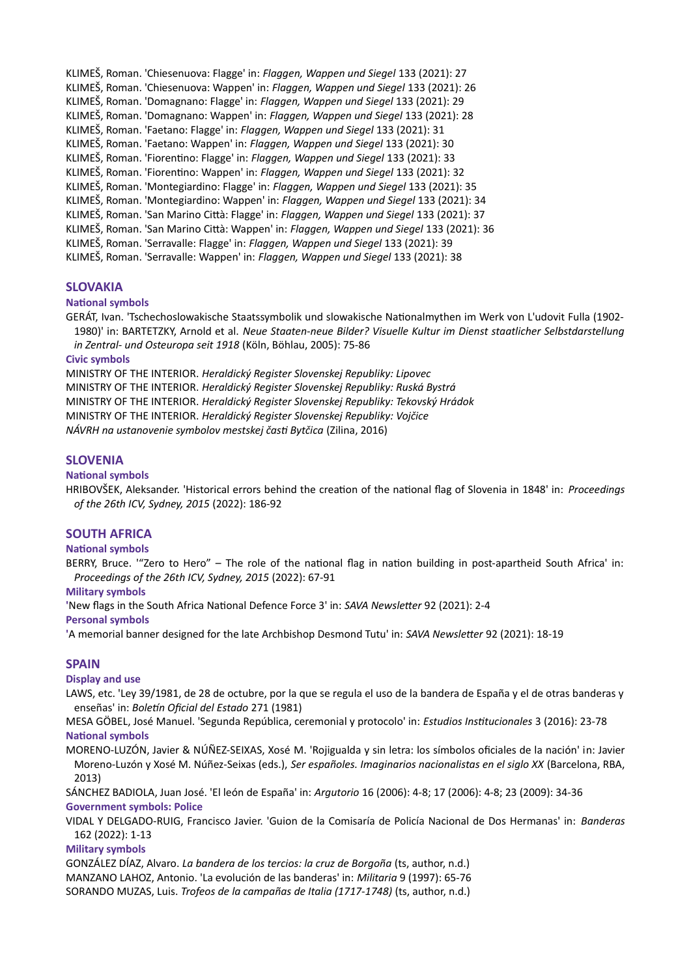KLIMEŠ, Roman. 'Chiesenuova: Flagge' in: *Flaggen, Wappen und Siegel* 133 (2021): 27 KLIMEŠ, Roman. 'Chiesenuova: Wappen' in: *Flaggen, Wappen und Siegel* 133 (2021): 26 KLIMEŠ, Roman. 'Domagnano: Flagge' in: *Flaggen, Wappen und Siegel* 133 (2021): 29 KLIMEŠ, Roman. 'Domagnano: Wappen' in: *Flaggen, Wappen und Siegel* 133 (2021): 28 KLIMEŠ, Roman. 'Faetano: Flagge' in: *Flaggen, Wappen und Siegel* 133 (2021): 31 KLIMEŠ, Roman. 'Faetano: Wappen' in: *Flaggen, Wappen und Siegel* 133 (2021): 30 KLIMEŠ, Roman. 'Fiorentino: Flagge' in: *Flaggen, Wappen und Siegel* 133 (2021): 33 KLIMEŠ, Roman. 'Fiorentino: Wappen' in: *Flaggen, Wappen und Siegel* 133 (2021): 32 KLIMEŠ, Roman. 'Montegiardino: Flagge' in: *Flaggen, Wappen und Siegel* 133 (2021): 35 KLIMEŠ, Roman. 'Montegiardino: Wappen' in: *Flaggen, Wappen und Siegel* 133 (2021): 34 KLIMEŠ, Roman. 'San Marino Città: Flagge' in: *Flaggen, Wappen und Siegel* 133 (2021): 37 KLIMEŠ, Roman. 'San Marino Città: Wappen' in: *Flaggen, Wappen und Siegel* 133 (2021): 36 KLIMEŠ, Roman. 'Serravalle: Flagge' in: *Flaggen, Wappen und Siegel* 133 (2021): 39 KLIMEŠ, Roman. 'Serravalle: Wappen' in: *Flaggen, Wappen und Siegel* 133 (2021): 38

## **SLOVAKIA**

#### **National symbols**

GERÁT, Ivan. 'Tschechoslowakische Staatssymbolik und slowakische Nationalmythen im Werk von L'udovit Fulla (1902- 1980)' in: BARTETZKY, Arnold et al. *Neue Staaten-neue Bilder? Visuelle Kultur im Dienst staatlicher Selbstdarstellung in Zentral- und Osteuropa seit 1918* (Köln, Böhlau, 2005): 75-86

#### **Civic symbols**

MINISTRY OF THE INTERIOR. *Heraldický Register Slovenskej Republiky: Lipovec* MINISTRY OF THE INTERIOR. *Heraldický Register Slovenskej Republiky: Ruská Bystrá* MINISTRY OF THE INTERIOR. *Heraldický Register Slovenskej Republiky: Tekovský Hrádok* MINISTRY OF THE INTERIOR. *Heraldický Register Slovenskej Republiky: Vojčice NÁVRH na ustanovenie symbolov mestskej časti Bytčica* (Zilina, 2016)

### **SLOVENIA**

#### **National symbols**

HRIBOVŠEK, Aleksander. 'Historical errors behind the creation of the national flag of Slovenia in 1848' in: *Proceedings of the 26th ICV, Sydney, 2015* (2022): 186-92

## **SOUTH AFRICA**

#### **National symbols**

BERRY, Bruce. '"Zero to Hero" – The role of the national flag in nation building in post-apartheid South Africa' in: *Proceedings of the 26th ICV, Sydney, 2015* (2022): 67-91

#### **Military symbols**

**'**New flags in the South Africa National Defence Force 3' in: *SAVA Newsletter* 92 (2021): 2-4

#### **Personal symbols**

**'**A memorial banner designed for the late Archbishop Desmond Tutu' in: *SAVA Newsletter* 92 (2021): 18-19

#### **SPAIN**

### **Display and use**

LAWS, etc. 'Ley 39/1981, de 28 de octubre, por la que se regula el uso de la bandera de España y el de otras banderas y enseñas' in: *Boletín Oficial del Estado* 271 (1981)

MESA GÖBEL, José Manuel. 'Segunda República, ceremonial y protocolo' in: *Estudios Institucionales* 3 (2016): 23-78 **National symbols**

MORENO-LUZÓN, Javier & NÚÑEZ-SEIXAS, Xosé M. 'Rojigualda y sin letra: los símbolos oficiales de la nación' in: Javier Moreno-Luzón y Xosé M. Núñez-Seixas (eds.), *Ser españoles. Imaginarios nacionalistas en el siglo XX* (Barcelona, RBA, 2013)

SÁNCHEZ BADIOLA, Juan José. 'El león de España' in: *Argutorio* 16 (2006): 4-8; 17 (2006): 4-8; 23 (2009): 34-36 **Government symbols: Police**

VIDAL Y DELGADO-RUIG, Francisco Javier. 'Guion de la Comisaría de Policía Nacional de Dos Hermanas' in: *Banderas* 162 (2022): 1-13

#### **Military symbols**

GONZÁLEZ DÍAZ, Alvaro. *La bandera de los tercios: la cruz de Borgoña* (ts, author, n.d.) MANZANO LAHOZ, Antonio. 'La evolución de las banderas' in: *Militaria* 9 (1997): 65-76 SORANDO MUZAS, Luis. *Trofeos de la campañas de Italia (1717-1748)* (ts, author, n.d.)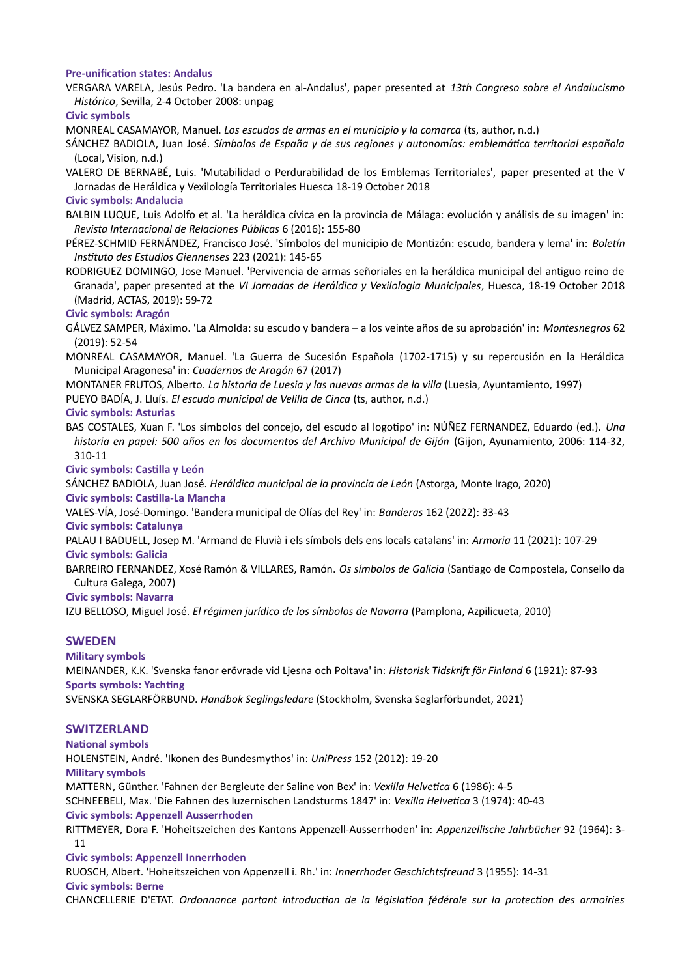#### **Pre-unification states: Andalus**

VERGARA VARELA, Jesús Pedro. 'La bandera en al-Andalus', paper presented at *13th Congreso sobre el Andalucismo Histórico*, Sevilla, 2-4 October 2008: unpag

**Civic symbols**

MONREAL CASAMAYOR, Manuel. *Los escudos de armas en el municipio y la comarca* (ts, author, n.d.)

SÁNCHEZ BADIOLA, Juan José. *Símbolos de España y de sus regiones y autonomías: emblemática territorial española* (Local, Vision, n.d.)

VALERO DE BERNABÉ, Luis. 'Mutabilidad o Perdurabilidad de los Emblemas Territoriales', paper presented at the V Jornadas de Heráldica y Vexilología Territoriales Huesca 18-19 October 2018

### **Civic symbols: Andalucia**

BALBIN LUQUE, Luis Adolfo et al. 'La heráldica cívica en la provincia de Málaga: evolución y análisis de su imagen' in: *Revista Internacional de Relaciones Públicas* 6 (2016): 155-80

PÉREZ-SCHMID FERNÁNDEZ, Francisco José. 'Símbolos del municipio de Montizón: escudo, bandera y lema' in: *Boletín Instituto des Estudios Giennenses* 223 (2021): 145-65

RODRIGUEZ DOMINGO, Jose Manuel. 'Pervivencia de armas señoriales en la heráldica municipal del antiguo reino de Granada', paper presented at the *VI Jornadas de Heráldica y Vexilologia Municipales*, Huesca, 18-19 October 2018 (Madrid, ACTAS, 2019): 59-72

### **Civic symbols: Aragón**

GÁLVEZ SAMPER, Máximo. 'La Almolda: su escudo y bandera – a los veinte años de su aprobación' in: *Montesnegros* 62 (2019): 52-54

MONREAL CASAMAYOR, Manuel. 'La Guerra de Sucesión Española (1702-1715) y su repercusión en la Heráldica Municipal Aragonesa' in: *Cuadernos de Aragón* 67 (2017)

MONTANER FRUTOS, Alberto. *La historia de Luesia y las nuevas armas de la villa* (Luesia, Ayuntamiento, 1997)

PUEYO BADÍA, J. Lluís. *El escudo municipal de Velilla de Cinca* (ts, author, n.d.)

### **Civic symbols: Asturias**

BAS COSTALES, Xuan F. 'Los símbolos del concejo, del escudo al logotipo' in: NÚÑEZ FERNANDEZ, Eduardo (ed.). *Una historia en papel: 500 años en los documentos del Archivo Municipal de Gijón* (Gijon, Ayunamiento, 2006: 114-32, 310-11

### **Civic symbols: Castilla y León**

SÁNCHEZ BADIOLA, Juan José. *Heráldica municipal de la provincia de León* (Astorga, Monte Irago, 2020) **Civic symbols: Castilla-La Mancha**

VALES-VÍA, José-Domingo. 'Bandera municipal de Olías del Rey' in: *Banderas* 162 (2022): 33-43

**Civic symbols: Catalunya**

PALAU I BADUELL, Josep M. 'Armand de Fluvià i els símbols dels ens locals catalans' in: *Armoria* 11 (2021): 107-29 **Civic symbols: Galicia**

BARREIRO FERNANDEZ, Xosé Ramón & VILLARES, Ramón. *Os símbolos de Galicia* (Santiago de Compostela, Consello da Cultura Galega, 2007)

**Civic symbols: Navarra**

IZU BELLOSO, Miguel José. *El régimen jurídico de los símbolos de Navarra* (Pamplona, Azpilicueta, 2010)

## **SWEDEN**

**Military symbols**

MEINANDER, K.K. 'Svenska fanor erövrade vid Ljesna och Poltava' in: *Historisk Tidskrift för Finland* 6 (1921): 87-93 **Sports symbols: Yachting**

SVENSKA SEGLARFÖRBUND. *Handbok Seglingsledare* (Stockholm, Svenska Seglarförbundet, 2021)

## **SWITZERLAND**

**National symbols** HOLENSTEIN, André. 'Ikonen des Bundesmythos' in: *UniPress* 152 (2012): 19-20

**Military symbols**

MATTERN, Günther. 'Fahnen der Bergleute der Saline von Bex' in: *Vexilla Helvetica* 6 (1986): 4-5 SCHNEEBELI, Max. 'Die Fahnen des luzernischen Landsturms 1847' in: *Vexilla Helvetica* 3 (1974): 40-43 **Civic symbols: Appenzell Ausserrhoden**

RITTMEYER, Dora F. 'Hoheitszeichen des Kantons Appenzell-Ausserrhoden' in: *Appenzellische Jahrbücher* 92 (1964): 3-

11

**Civic symbols: Appenzell Innerrhoden**

RUOSCH, Albert. 'Hoheitszeichen von Appenzell i. Rh.' in: *Innerrhoder Geschichtsfreund* 3 (1955): 14-31

## **Civic symbols: Berne**

CHANCELLERIE D'ETAT. *Ordonnance portant introduction de la législation fédérale sur la protection des armoiries*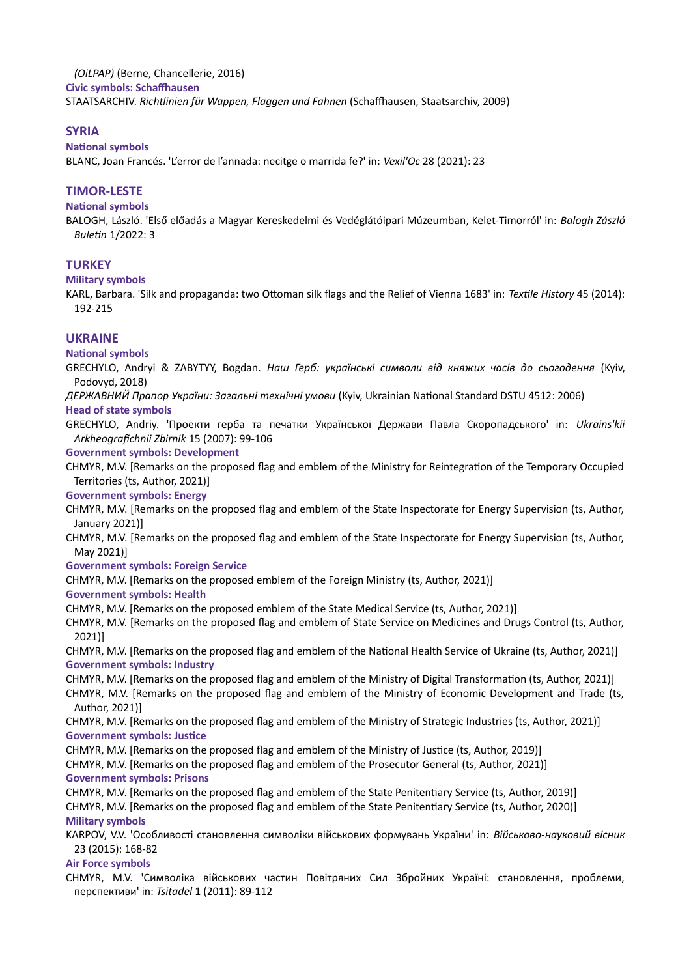*(OiLPAP)* (Berne, Chancellerie, 2016) **Civic symbols: Schaffhausen** STAATSARCHIV. *Richtlinien für Wappen, Flaggen und Fahnen* (Schaffhausen, Staatsarchiv, 2009)

## **SYRIA**

### **National symbols**

BLANC, Joan Francés. 'L'error de l'annada: necitge o marrida fe?' in: *Vexil'Oc* 28 (2021): 23

## **TIMOR-LESTE**

#### **National symbols**

BALOGH, László. 'Első előadás a Magyar Kereskedelmi és Vedéglátóipari Múzeumban, Kelet-Timorról' in: *Balogh Zászló Buletin* 1/2022: 3

## **TURKEY**

### **Military symbols**

KARL, Barbara. 'Silk and propaganda: two Ottoman silk flags and the Relief of Vienna 1683' in: *Textile History* 45 (2014): 192-215

## **UKRAINE**

**National symbols**

GRECHYLO, Andryi & ZABYTYY, Bogdan. *Наш Герб: українські символи від княжих часів до сьогодення* (Kyiv, Podovyd, 2018)

*ДЕРЖАВНИЙ Прапор України: Загальні технічні умови* (Kyiv, Ukrainian National Standard DSTU 4512: 2006)

#### **Head of state symbols**

GRECHYLO, Andriy. 'Проекти герба та печатки Української Держави Павла Скоропадського' in: *Ukrains'kii Arkheografichnii Zbirnik* 15 (2007): 99-106

#### **Government symbols: Development**

CHMYR, M.V. [Remarks on the proposed flag and emblem of the Ministry for Reintegration of the Temporary Occupied Territories (ts, Author, 2021)]

### **Government symbols: Energy**

CHMYR, M.V. [Remarks on the proposed flag and emblem of the State Inspectorate for Energy Supervision (ts, Author, January 2021)]

CHMYR, M.V. [Remarks on the proposed flag and emblem of the State Inspectorate for Energy Supervision (ts, Author, May 2021)]

#### **Government symbols: Foreign Service**

CHMYR, M.V. [Remarks on the proposed emblem of the Foreign Ministry (ts, Author, 2021)]

#### **Government symbols: Health**

CHMYR, M.V. [Remarks on the proposed emblem of the State Medical Service (ts, Author, 2021)]

CHMYR, M.V. [Remarks on the proposed flag and emblem of State Service on Medicines and Drugs Control (ts, Author, 2021)]

CHMYR, M.V. [Remarks on the proposed flag and emblem of the National Health Service of Ukraine (ts, Author, 2021)] **Government symbols: Industry**

CHMYR, M.V. [Remarks on the proposed flag and emblem of the Ministry of Digital Transformation (ts, Author, 2021)]

CHMYR, M.V. [Remarks on the proposed flag and emblem of the Ministry of Economic Development and Trade (ts, Author, 2021)]

CHMYR, M.V. [Remarks on the proposed flag and emblem of the Ministry of Strategic Industries (ts, Author, 2021)] **Government symbols: Justice**

CHMYR, M.V. [Remarks on the proposed flag and emblem of the Ministry of Justice (ts, Author, 2019)]

CHMYR, M.V. [Remarks on the proposed flag and emblem of the Prosecutor General (ts, Author, 2021)] **Government symbols: Prisons**

CHMYR, M.V. [Remarks on the proposed flag and emblem of the State Penitentiary Service (ts, Author, 2019)]

CHMYR, M.V. [Remarks on the proposed flag and emblem of the State Penitentiary Service (ts, Author, 2020)] **Military symbols**

KARPOV, V.V. 'Особливості становлення символіки військових формувань України' in: *Військово-науковий вісник* 23 (2015): 168-82

#### **Air Force symbols**

CHMYR, M.V. 'Символіка військових частин Повітряних Сил Збройних Україні: становлення, проблеми, перспективи' in: *Tsitadel* 1 (2011): 89-112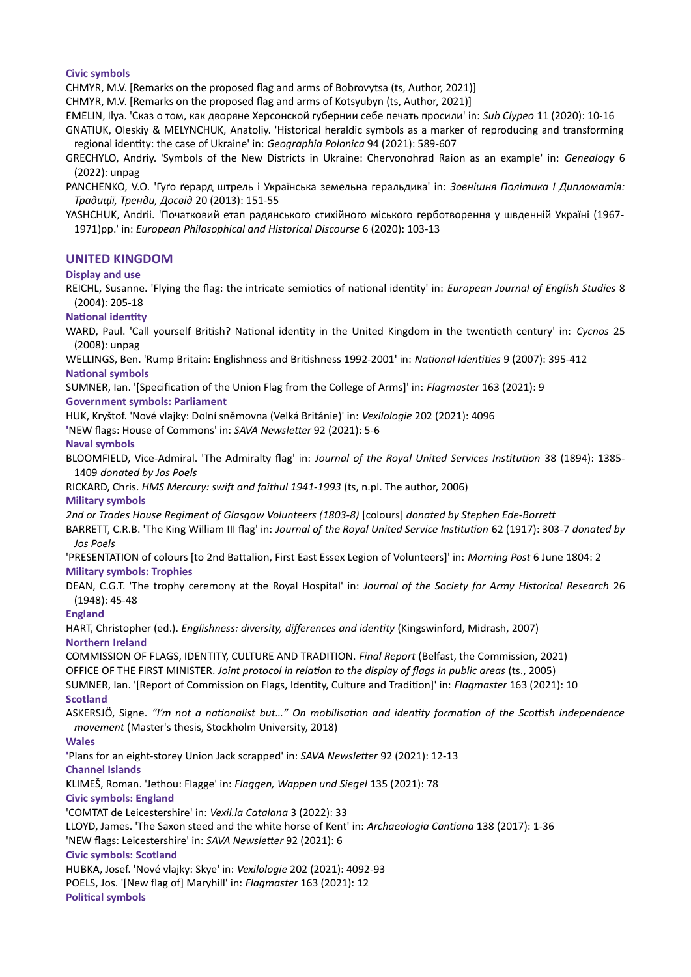#### **Civic symbols**

CHMYR, M.V. [Remarks on the proposed flag and arms of Bobrovytsa (ts, Author, 2021)]

CHMYR, M.V. [Remarks on the proposed flag and arms of Kotsyubyn (ts, Author, 2021)]

EMELIN, Ilya. 'Сказ о том, как дворяне Херсонской губернии себе печать просили' in: *Sub Clypeo* 11 (2020): 10-16

GNATIUK, Oleskiy & MELYNCHUK, Anatoliy. 'Historical heraldic symbols as a marker of reproducing and transforming regional identity: the case of Ukraine' in: *Geographia Polonica* 94 (2021): 589-607

GRECHYLO, Andriy. 'Symbols of the New Districts in Ukraine: Chervonohrad Raion as an example' in: *Genealogy* 6 (2022): unpag

PANCHENKO, V.O. 'Гуґо ґерард штрель і Українська земельна геральдика' in: *Зовнішня Політика І Дипломатія: Традиції, Тренди, Досвід* 20 (2013): 151-55

YASHCHUK, Andrii. 'Початковий етап радянського стихійного міського герботворення у швденній Україні (1967- 1971)pp.' in: *European Philosophical and Historical Discourse* 6 (2020): 103-13

## **UNITED KINGDOM**

## **Display and use**

REICHL, Susanne. 'Flying the flag: the intricate semiotics of national identity' in: *European Journal of English Studies* 8 (2004): 205-18

#### **National identity**

WARD, Paul. 'Call yourself British? National identity in the United Kingdom in the twentieth century' in: *Cycnos* 25 (2008): unpag

WELLINGS, Ben. 'Rump Britain: Englishness and Britishness 1992-2001' in: *National Identities* 9 (2007): 395-412 **National symbols**

SUMNER, Ian. '[Specification of the Union Flag from the College of Arms]' in: *Flagmaster* 163 (2021): 9

## **Government symbols: Parliament**

HUK, Kryštof. 'Nové vlajky: Dolní sněmovna (Velká Británie)' in: *Vexilologie* 202 (2021): 4096

**'**NEW flags: House of Commons' in: *SAVA Newsletter* 92 (2021): 5-6

#### **Naval symbols**

BLOOMFIELD, Vice-Admiral. 'The Admiralty flag' in: *Journal of the Royal United Services Institution* 38 (1894): 1385- 1409 *donated by Jos Poels*

RICKARD, Chris. *HMS Mercury: swift and faithul 1941-1993* (ts, n.pl. The author, 2006)

## **Military symbols**

*2nd or Trades House Regiment of Glasgow Volunteers (1803-8)* [colours] *donated by Stephen Ede-Borrett*

BARRETT, C.R.B. 'The King William III flag' in: *Journal of the Royal United Service Institution* 62 (1917): 303-7 *donated by Jos Poels*

'PRESENTATION of colours [to 2nd Battalion, First East Essex Legion of Volunteers]' in: *Morning Post* 6 June 1804: 2 **Military symbols: Trophies**

DEAN, C.G.T. 'The trophy ceremony at the Royal Hospital' in: *Journal of the Society for Army Historical Research* 26 (1948): 45-48

### **England**

HART, Christopher (ed.). *Englishness: diversity, differences and identity* (Kingswinford, Midrash, 2007) **Northern Ireland**

COMMISSION OF FLAGS, IDENTITY, CULTURE AND TRADITION. *Final Report* (Belfast, the Commission, 2021)

OFFICE OF THE FIRST MINISTER. *Joint protocol in relation to the display of flags in public areas* (ts., 2005)

SUMNER, Ian. '[Report of Commission on Flags, Identity, Culture and Tradition]' in: *Flagmaster* 163 (2021): 10 **Scotland**

ASKERSJÖ, Signe. *"I'm not a nationalist but…" On mobilisation and identity formation of the Scottish independence movement* (Master's thesis, Stockholm University, 2018)

## **Wales**

**'**Plans for an eight-storey Union Jack scrapped' in: *SAVA Newsletter* 92 (2021): 12-13

**Channel Islands**

KLIMEŠ, Roman. 'Jethou: Flagge' in: *Flaggen, Wappen und Siegel* 135 (2021): 78

**Civic symbols: England**

'COMTAT de Leicestershire' in: *Vexil.la Catalana* 3 (2022): 33

LLOYD, James. 'The Saxon steed and the white horse of Kent' in: *Archaeologia Cantiana* 138 (2017): 1-36

'NEW flags: Leicestershire' in: *SAVA Newsletter* 92 (2021): 6

**Civic symbols: Scotland**

HUBKA, Josef. 'Nové vlajky: Skye' in: *Vexilologie* 202 (2021): 4092-93

POELS, Jos. '[New flag of] Maryhill' in: *Flagmaster* 163 (2021): 12

**Political symbols**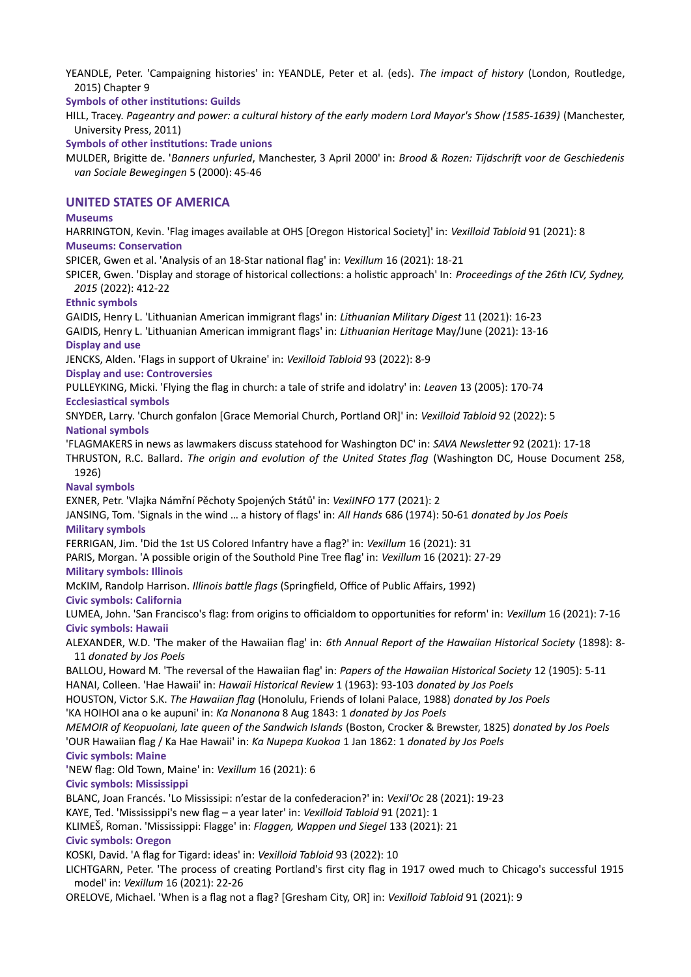YEANDLE, Peter. 'Campaigning histories' in: YEANDLE, Peter et al. (eds). *The impact of history* (London, Routledge, 2015) Chapter 9

**Symbols of other institutions: Guilds**

HILL, Tracey. *Pageantry and power: a cultural history of the early modern Lord Mayor's Show (1585-1639)* (Manchester, University Press, 2011)

**Symbols of other institutions: Trade unions**

MULDER, Brigitte de. '*Banners unfurled*, Manchester, 3 April 2000' in: *Brood & Rozen: Tijdschrift voor de Geschiedenis van Sociale Bewegingen* 5 (2000): 45-46

## **UNITED STATES OF AMERICA**

#### **Museums**

HARRINGTON, Kevin. 'Flag images available at OHS [Oregon Historical Society]' in: *Vexilloid Tabloid* 91 (2021): 8 **Museums: Conservation**

SPICER, Gwen et al. 'Analysis of an 18-Star national flag' in: *Vexillum* 16 (2021): 18-21

SPICER, Gwen. 'Display and storage of historical collections: a holistic approach' In: *Proceedings of the 26th ICV, Sydney, 2015* (2022): 412-22

### **Ethnic symbols**

GAIDIS, Henry L. 'Lithuanian American immigrant flags' in: *Lithuanian Military Digest* 11 (2021): 16-23 GAIDIS, Henry L. 'Lithuanian American immigrant flags' in: *Lithuanian Heritage* May/June (2021): 13-16 **Display and use**

JENCKS, Alden. 'Flags in support of Ukraine' in: *Vexilloid Tabloid* 93 (2022): 8-9

**Display and use: Controversies**

PULLEYKING, Micki. 'Flying the flag in church: a tale of strife and idolatry' in: *Leaven* 13 (2005): 170-74

**Ecclesiastical symbols**

SNYDER, Larry. 'Church gonfalon [Grace Memorial Church, Portland OR]' in: *Vexilloid Tabloid* 92 (2022): 5 **National symbols**

'FLAGMAKERS in news as lawmakers discuss statehood for Washington DC' in: *SAVA Newsletter* 92 (2021): 17-18

THRUSTON, R.C. Ballard. *The origin and evolution of the United States flag* (Washington DC, House Document 258, 1926)

**Naval symbols**

EXNER, Petr. 'Vlajka Námřní Pěchoty Spojených Států' in: *VexiINFO* 177 (2021): 2

JANSING, Tom. 'Signals in the wind … a history of flags' in: *All Hands* 686 (1974): 50-61 *donated by Jos Poels* **Military symbols**

FERRIGAN, Jim. 'Did the 1st US Colored Infantry have a flag?' in: *Vexillum* 16 (2021): 31

PARIS, Morgan. 'A possible origin of the Southold Pine Tree flag' in: *Vexillum* 16 (2021): 27-29

**Military symbols: Illinois**

McKIM, Randolp Harrison. *Illinois battle flags* (Springfield, Office of Public Affairs, 1992)

**Civic symbols: California**

LUMEA, John. 'San Francisco's flag: from origins to officialdom to opportunities for reform' in: *Vexillum* 16 (2021): 7-16 **Civic symbols: Hawaii**

ALEXANDER, W.D. 'The maker of the Hawaiian flag' in: *6th Annual Report of the Hawaiian Historical Society* (1898): 8- 11 *donated by Jos Poels*

BALLOU, Howard M. 'The reversal of the Hawaiian flag' in: *Papers of the Hawaiian Historical Society* 12 (1905): 5-11 HANAI, Colleen. 'Hae Hawaii' in: *Hawaii Historical Review* 1 (1963): 93-103 *donated by Jos Poels*

HOUSTON, Victor S.K. *The Hawaiian flag* (Honolulu, Friends of Iolani Palace, 1988) *donated by Jos Poels*

'KA HOIHOI ana o ke aupuni' in: *Ka Nonanona* 8 Aug 1843: 1 *donated by Jos Poels*

*MEMOIR of Keopuolani, late queen of the Sandwich Islands* (Boston, Crocker & Brewster, 1825) *donated by Jos Poels* 'OUR Hawaiian flag / Ka Hae Hawaii' in: *Ka Nupepa Kuokoa* 1 Jan 1862: 1 *donated by Jos Poels*

**Civic symbols: Maine**

**'**NEW flag: Old Town, Maine' in: *Vexillum* 16 (2021): 6

**Civic symbols: Mississippi**

BLANC, Joan Francés. 'Lo Mississipi: n'estar de la confederacion?' in: *Vexil'Oc* 28 (2021): 19-23

KAYE, Ted. 'Mississippi's new flag – a year later' in: *Vexilloid Tabloid* 91 (2021): 1

KLIMEŠ, Roman. 'Mississippi: Flagge' in: *Flaggen, Wappen und Siegel* 133 (2021): 21

## **Civic symbols: Oregon**

KOSKI, David. 'A flag for Tigard: ideas' in: *Vexilloid Tabloid* 93 (2022): 10

LICHTGARN, Peter. 'The process of creating Portland's first city flag in 1917 owed much to Chicago's successful 1915 model' in: *Vexillum* 16 (2021): 22-26

ORELOVE, Michael. 'When is a flag not a flag? [Gresham City, OR] in: *Vexilloid Tabloid* 91 (2021): 9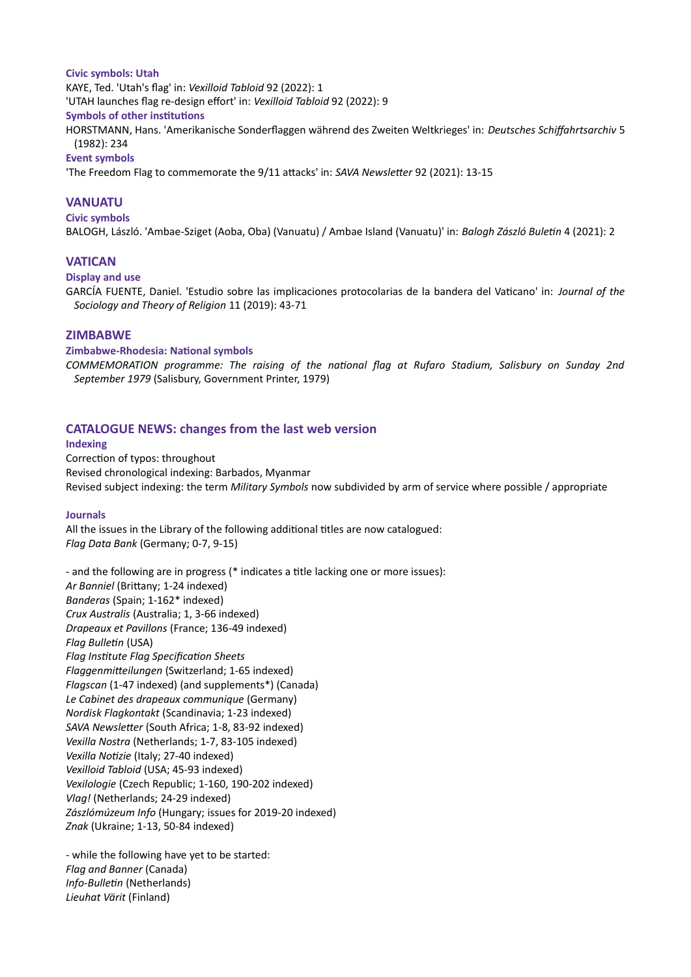#### **Civic symbols: Utah**

KAYE, Ted. 'Utah's flag' in: *Vexilloid Tabloid* 92 (2022): 1

'UTAH launches flag re-design effort' in: *Vexilloid Tabloid* 92 (2022): 9

## **Symbols of other institutions**

HORSTMANN, Hans. 'Amerikanische Sonderflaggen während des Zweiten Weltkrieges' in: *Deutsches Schiffahrtsarchiv* 5 (1982): 234

### **Event symbols**

**'**The Freedom Flag to commemorate the 9/11 attacks' in: *SAVA Newsletter* 92 (2021): 13-15

## **VANUATU**

### **Civic symbols**

BALOGH, László. 'Ambae-Sziget (Aoba, Oba) (Vanuatu) / Ambae Island (Vanuatu)' in: *Balogh Zászló Buletin* 4 (2021): 2

## **VATICAN**

## **Display and use**

GARCÍA FUENTE, Daniel. 'Estudio sobre las implicaciones protocolarias de la bandera del Vaticano' in: *Journal of the Sociology and Theory of Religion* 11 (2019): 43-71

## **ZIMBABWE**

### **Zimbabwe-Rhodesia: National symbols**

*COMMEMORATION programme: The raising of the national flag at Rufaro Stadium, Salisbury on Sunday 2nd September 1979* (Salisbury, Government Printer, 1979)

## **CATALOGUE NEWS: changes from the last web version**

#### **Indexing**

Correction of typos: throughout Revised chronological indexing: Barbados, Myanmar Revised subject indexing: the term *Military Symbols* now subdivided by arm of service where possible / appropriate

## **Journals**

All the issues in the Library of the following additional titles are now catalogued: *Flag Data Bank* (Germany; 0-7, 9-15)

- and the following are in progress (\* indicates a title lacking one or more issues): *Ar Banniel* (Brittany; 1-24 indexed) *Banderas* (Spain; 1-162\* indexed) *Crux Australis* (Australia; 1, 3-66 indexed) *Drapeaux et Pavillons* (France; 136-49 indexed) *Flag Bulletin* (USA) *Flag Institute Flag Specification Sheets Flaggenmitteilungen* (Switzerland; 1-65 indexed) *Flagscan* (1-47 indexed) (and supplements\*) (Canada) *Le Cabinet des drapeaux communique* (Germany) *Nordisk Flagkontakt* (Scandinavia; 1-23 indexed) *SAVA Newsletter* (South Africa; 1-8, 83-92 indexed) *Vexilla Nostra* (Netherlands; 1-7, 83-105 indexed) *Vexilla Notizie* (Italy; 27-40 indexed) *Vexilloid Tabloid* (USA; 45-93 indexed) *Vexilologie* (Czech Republic; 1-160, 190-202 indexed) *Vlag!* (Netherlands; 24-29 indexed) *Zászlómúzeum Info* (Hungary; issues for 2019-20 indexed) *Znak* (Ukraine; 1-13, 50-84 indexed)

- while the following have yet to be started: *Flag and Banner* (Canada) *Info-Bulletin* (Netherlands) *Lieuhat Värit* (Finland)